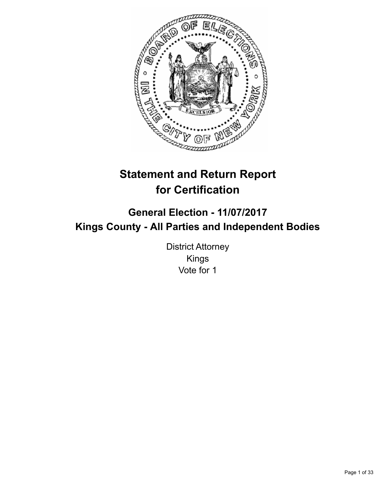

# **Statement and Return Report for Certification**

## **General Election - 11/07/2017 Kings County - All Parties and Independent Bodies**

District Attorney Kings Vote for 1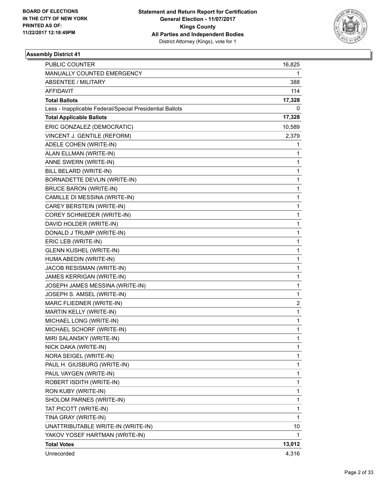

| PUBLIC COUNTER                                           | 16,825       |
|----------------------------------------------------------|--------------|
| MANUALLY COUNTED EMERGENCY                               | 1            |
| <b>ABSENTEE / MILITARY</b>                               | 388          |
| AFFIDAVIT                                                | 114          |
| <b>Total Ballots</b>                                     | 17,328       |
| Less - Inapplicable Federal/Special Presidential Ballots | 0            |
| <b>Total Applicable Ballots</b>                          | 17,328       |
| ERIC GONZALEZ (DEMOCRATIC)                               | 10,589       |
| VINCENT J. GENTILE (REFORM)                              | 2,379        |
| ADELE COHEN (WRITE-IN)                                   | 1            |
| ALAN ELLMAN (WRITE-IN)                                   | 1            |
| ANNE SWERN (WRITE-IN)                                    | 1            |
| BILL BELARD (WRITE-IN)                                   | 1            |
| BORNADETTE DEVLIN (WRITE-IN)                             | 1            |
| <b>BRUCE BARON (WRITE-IN)</b>                            | 1            |
| CAMILLE DI MESSINA (WRITE-IN)                            | 1            |
| CAREY BERSTEIN (WRITE-IN)                                | 1            |
| COREY SCHNIEDER (WRITE-IN)                               | 1            |
| DAVID HOLDER (WRITE-IN)                                  | 1            |
| DONALD J TRUMP (WRITE-IN)                                | 1            |
| ERIC LEB (WRITE-IN)                                      | 1            |
| <b>GLENN KUSHEL (WRITE-IN)</b>                           | 1            |
| HUMA ABEDIN (WRITE-IN)                                   | 1            |
| JACOB RESISMAN (WRITE-IN)                                | 1            |
| JAMES KERRIGAN (WRITE-IN)                                | 1            |
| JOSEPH JAMES MESSINA (WRITE-IN)                          | 1            |
| JOSEPH S. AMSEL (WRITE-IN)                               | 1            |
| MARC FLIEDNER (WRITE-IN)                                 | 2            |
| MARTIN KELLY (WRITE-IN)                                  | 1            |
| MICHAEL LONG (WRITE-IN)                                  | 1            |
| MICHAEL SCHORF (WRITE-IN)                                | 1            |
| MIRI SALANSKY (WRITE-IN)                                 | $\mathbf{1}$ |
| NICK DAKA (WRITE-IN)                                     | 1            |
| NORA SEIGEL (WRITE-IN)                                   | 1            |
| PAUL H. GIUSBURG (WRITE-IN)                              | 1            |
| PAUL VAYGEN (WRITE-IN)                                   | 1            |
| ROBERT ISDITH (WRITE-IN)                                 | 1            |
| RON KUBY (WRITE-IN)                                      | 1            |
| SHOLOM PARNES (WRITE-IN)                                 | 1            |
| TAT PICOTT (WRITE-IN)                                    | 1            |
| TINA GRAY (WRITE-IN)                                     | $\mathbf{1}$ |
| UNATTRIBUTABLE WRITE-IN (WRITE-IN)                       | 10           |
| YAKOV YOSEF HARTMAN (WRITE-IN)                           | 1            |
| <b>Total Votes</b>                                       | 13,012       |
| Unrecorded                                               | 4,316        |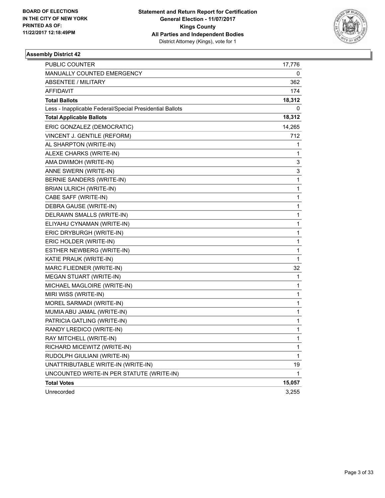

| <b>PUBLIC COUNTER</b>                                    | 17,776       |
|----------------------------------------------------------|--------------|
| MANUALLY COUNTED EMERGENCY                               | 0            |
| <b>ABSENTEE / MILITARY</b>                               | 362          |
| AFFIDAVIT                                                | 174          |
| <b>Total Ballots</b>                                     | 18,312       |
| Less - Inapplicable Federal/Special Presidential Ballots | 0            |
| <b>Total Applicable Ballots</b>                          | 18,312       |
| ERIC GONZALEZ (DEMOCRATIC)                               | 14,265       |
| VINCENT J. GENTILE (REFORM)                              | 712          |
| AL SHARPTON (WRITE-IN)                                   | 1            |
| ALEXE CHARKS (WRITE-IN)                                  | 1            |
| AMA DWIMOH (WRITE-IN)                                    | 3            |
| ANNE SWERN (WRITE-IN)                                    | 3            |
| BERNIE SANDERS (WRITE-IN)                                | $\mathbf{1}$ |
| <b>BRIAN ULRICH (WRITE-IN)</b>                           | 1            |
| CABE SAFF (WRITE-IN)                                     | 1            |
| DEBRA GAUSE (WRITE-IN)                                   | 1            |
| DELRAWN SMALLS (WRITE-IN)                                | 1            |
| ELIYAHU CYNAMAN (WRITE-IN)                               | 1            |
| ERIC DRYBURGH (WRITE-IN)                                 | 1            |
| ERIC HOLDER (WRITE-IN)                                   | 1            |
| ESTHER NEWBERG (WRITE-IN)                                | 1            |
| KATIE PRAUK (WRITE-IN)                                   | $\mathbf 1$  |
| MARC FLIEDNER (WRITE-IN)                                 | 32           |
| MEGAN STUART (WRITE-IN)                                  | 1            |
| MICHAEL MAGLOIRE (WRITE-IN)                              | 1            |
| MIRI WISS (WRITE-IN)                                     | 1            |
| MOREL SARMADI (WRITE-IN)                                 | 1            |
| MUMIA ABU JAMAL (WRITE-IN)                               | 1            |
| PATRICIA GATLING (WRITE-IN)                              | 1            |
| RANDY LREDICO (WRITE-IN)                                 | 1            |
| RAY MITCHELL (WRITE-IN)                                  | $\mathbf{1}$ |
| RICHARD MICEWITZ (WRITE-IN)                              | 1            |
| RUDOLPH GIULIANI (WRITE-IN)                              | 1            |
| UNATTRIBUTABLE WRITE-IN (WRITE-IN)                       | 19           |
| UNCOUNTED WRITE-IN PER STATUTE (WRITE-IN)                | 1            |
| <b>Total Votes</b>                                       | 15,057       |
| Unrecorded                                               | 3,255        |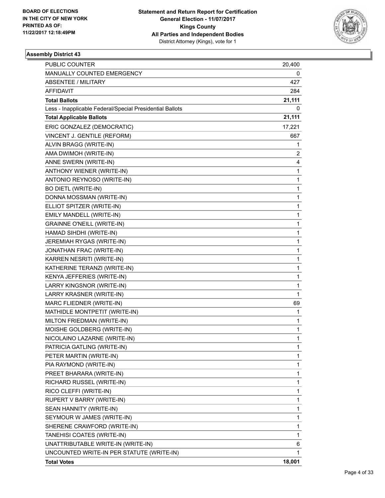

| PUBLIC COUNTER                                           | 20,400       |
|----------------------------------------------------------|--------------|
| MANUALLY COUNTED EMERGENCY                               | 0            |
| ABSENTEE / MILITARY                                      | 427          |
| AFFIDAVIT                                                | 284          |
| <b>Total Ballots</b>                                     | 21,111       |
| Less - Inapplicable Federal/Special Presidential Ballots | 0            |
| <b>Total Applicable Ballots</b>                          | 21,111       |
| ERIC GONZALEZ (DEMOCRATIC)                               | 17,221       |
| VINCENT J. GENTILE (REFORM)                              | 667          |
| ALVIN BRAGG (WRITE-IN)                                   | 1            |
| AMA DWIMOH (WRITE-IN)                                    | 2            |
| ANNE SWERN (WRITE-IN)                                    | 4            |
| ANTHONY WIENER (WRITE-IN)                                | 1            |
| ANTONIO REYNOSO (WRITE-IN)                               | 1            |
| <b>BO DIETL (WRITE-IN)</b>                               | 1            |
| DONNA MOSSMAN (WRITE-IN)                                 | 1            |
| ELLIOT SPITZER (WRITE-IN)                                | 1            |
| EMILY MANDELL (WRITE-IN)                                 | 1            |
| <b>GRAINNE O'NEILL (WRITE-IN)</b>                        | 1            |
| HAMAD SIHDHI (WRITE-IN)                                  | 1            |
| JEREMIAH RYGAS (WRITE-IN)                                | 1            |
| JONATHAN FRAC (WRITE-IN)                                 | 1            |
| KARREN NESRITI (WRITE-IN)                                | 1            |
| KATHERINE TERANZI (WRITE-IN)                             | 1            |
| KENYA JEFFERIES (WRITE-IN)                               | 1            |
| LARRY KINGSNOR (WRITE-IN)                                | 1            |
| LARRY KRASNER (WRITE-IN)                                 | $\mathbf{1}$ |
| MARC FLIEDNER (WRITE-IN)                                 | 69           |
| MATHIDLE MONTPETIT (WRITE-IN)                            | 1            |
| MILTON FRIEDMAN (WRITE-IN)                               | 1            |
| MOISHE GOLDBERG (WRITE-IN)                               | 1            |
| NICOLAINO LAZARNE (WRITE-IN)                             | 1            |
| PATRICIA GATLING (WRITE-IN)                              | 1            |
| PETER MARTIN (WRITE-IN)                                  | 1            |
| PIA RAYMOND (WRITE-IN)                                   | 1            |
| PREET BHARARA (WRITE-IN)                                 | 1            |
| RICHARD RUSSEL (WRITE-IN)                                | 1            |
| RICO CLEFFI (WRITE-IN)                                   | 1            |
| RUPERT V BARRY (WRITE-IN)                                | 1            |
| SEAN HANNITY (WRITE-IN)                                  | 1            |
| SEYMOUR W JAMES (WRITE-IN)                               | 1            |
| SHERENE CRAWFORD (WRITE-IN)                              | 1            |
| TANEHISI COATES (WRITE-IN)                               | 1            |
| UNATTRIBUTABLE WRITE-IN (WRITE-IN)                       | 6            |
| UNCOUNTED WRITE-IN PER STATUTE (WRITE-IN)                | 1            |
| <b>Total Votes</b>                                       | 18,001       |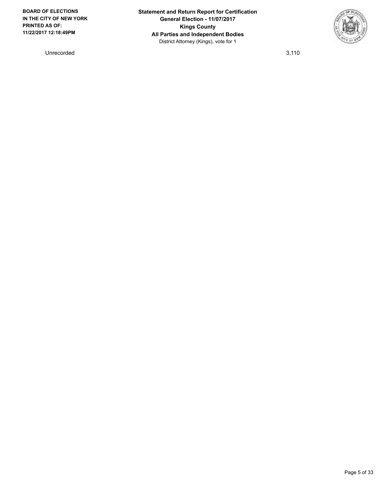Unrecorded 3,110

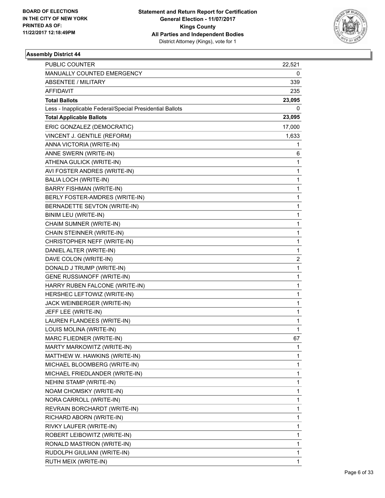

| PUBLIC COUNTER                                           | 22,521       |
|----------------------------------------------------------|--------------|
| MANUALLY COUNTED EMERGENCY                               | 0            |
| ABSENTEE / MILITARY                                      | 339          |
| AFFIDAVIT                                                | 235          |
| <b>Total Ballots</b>                                     | 23,095       |
| Less - Inapplicable Federal/Special Presidential Ballots | 0            |
| <b>Total Applicable Ballots</b>                          | 23,095       |
| ERIC GONZALEZ (DEMOCRATIC)                               | 17,000       |
| VINCENT J. GENTILE (REFORM)                              | 1,633        |
| ANNA VICTORIA (WRITE-IN)                                 | 1            |
| ANNE SWERN (WRITE-IN)                                    | 6            |
| ATHENA GULICK (WRITE-IN)                                 | 1            |
| AVI FOSTER ANDRES (WRITE-IN)                             | 1            |
| <b>BALIA LOCH (WRITE-IN)</b>                             | 1            |
| BARRY FISHMAN (WRITE-IN)                                 | $\mathbf{1}$ |
| BERLY FOSTER-AMDRES (WRITE-IN)                           | 1            |
| BERNADETTE SEVTON (WRITE-IN)                             | 1            |
| BINIM LEU (WRITE-IN)                                     | 1            |
| CHAIM SUMNER (WRITE-IN)                                  | 1            |
| CHAIN STEINNER (WRITE-IN)                                | 1            |
| CHRISTOPHER NEFF (WRITE-IN)                              | $\mathbf{1}$ |
| DANIEL ALTER (WRITE-IN)                                  | 1            |
| DAVE COLON (WRITE-IN)                                    | 2            |
| DONALD J TRUMP (WRITE-IN)                                | $\mathbf{1}$ |
| GENE RUSSIANOFF (WRITE-IN)                               | 1            |
| HARRY RUBEN FALCONE (WRITE-IN)                           | 1            |
| HERSHEC LEFTOWIZ (WRITE-IN)                              | $\mathbf{1}$ |
| JACK WEINBERGER (WRITE-IN)                               | 1            |
| JEFF LEE (WRITE-IN)                                      | 1            |
| LAUREN FLANDEES (WRITE-IN)                               | 1            |
| LOUIS MOLINA (WRITE-IN)                                  | 1            |
| MARC FLIEDNER (WRITE-IN)                                 | 67           |
| MARTY MARKOWITZ (WRITE-IN)                               | 1            |
| MATTHEW W. HAWKINS (WRITE-IN)                            | 1            |
| MICHAEL BLOOMBERG (WRITE-IN)                             | 1            |
| MICHAEL FRIEDLANDER (WRITE-IN)                           | 1            |
| NEHINI STAMP (WRITE-IN)                                  | 1            |
| NOAM CHOMSKY (WRITE-IN)                                  | 1            |
| NORA CARROLL (WRITE-IN)                                  | 1            |
| REVRAIN BORCHARDT (WRITE-IN)                             | 1            |
| RICHARD ABORN (WRITE-IN)                                 | 1            |
| RIVKY LAUFER (WRITE-IN)                                  | 1            |
| ROBERT LEIBOWITZ (WRITE-IN)                              | 1            |
| RONALD MASTRION (WRITE-IN)                               | 1            |
| RUDOLPH GIULIANI (WRITE-IN)                              | 1            |
| RUTH MEIX (WRITE-IN)                                     | 1            |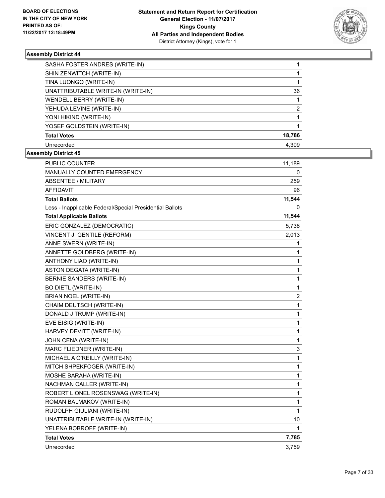

| SASHA FOSTER ANDRES (WRITE-IN)     |        |
|------------------------------------|--------|
| SHIN ZENWITCH (WRITE-IN)           |        |
| TINA LUONGO (WRITE-IN)             |        |
| UNATTRIBUTABLE WRITE-IN (WRITE-IN) | 36     |
| WENDELL BERRY (WRITE-IN)           |        |
| YEHUDA LEVINE (WRITE-IN)           | 2      |
| YONI HIKIND (WRITE-IN)             |        |
| YOSEF GOLDSTEIN (WRITE-IN)         |        |
| <b>Total Votes</b>                 | 18,786 |
| Unrecorded                         | 4.309  |

| <b>PUBLIC COUNTER</b>                                    | 11,189 |
|----------------------------------------------------------|--------|
| MANUALLY COUNTED EMERGENCY                               | 0      |
| <b>ABSENTEE / MILITARY</b>                               | 259    |
| <b>AFFIDAVIT</b>                                         | 96     |
| <b>Total Ballots</b>                                     | 11,544 |
| Less - Inapplicable Federal/Special Presidential Ballots | 0      |
| <b>Total Applicable Ballots</b>                          | 11,544 |
| ERIC GONZALEZ (DEMOCRATIC)                               | 5,738  |
| VINCENT J. GENTILE (REFORM)                              | 2,013  |
| ANNE SWERN (WRITE-IN)                                    | 1      |
| ANNETTE GOLDBERG (WRITE-IN)                              | 1      |
| ANTHONY LIAO (WRITE-IN)                                  | 1      |
| ASTON DEGATA (WRITE-IN)                                  | 1      |
| <b>BERNIE SANDERS (WRITE-IN)</b>                         | 1      |
| <b>BO DIETL (WRITE-IN)</b>                               | 1      |
| BRIAN NOEL (WRITE-IN)                                    | 2      |
| CHAIM DEUTSCH (WRITE-IN)                                 | 1      |
| DONALD J TRUMP (WRITE-IN)                                | 1      |
| EVE EISIG (WRITE-IN)                                     | 1      |
| HARVEY DEVITT (WRITE-IN)                                 | 1      |
| JOHN CENA (WRITE-IN)                                     | 1      |
| MARC FLIEDNER (WRITE-IN)                                 | 3      |
| MICHAEL A O'REILLY (WRITE-IN)                            | 1      |
| MITCH SHPEKFOGER (WRITE-IN)                              | 1      |
| MOSHE BARAHA (WRITE-IN)                                  | 1      |
| NACHMAN CALLER (WRITE-IN)                                | 1      |
| ROBERT LIONEL ROSENSWAG (WRITE-IN)                       | 1      |
| ROMAN BALMAKOV (WRITE-IN)                                | 1      |
| RUDOLPH GIULIANI (WRITE-IN)                              | 1      |
| UNATTRIBUTABLE WRITE-IN (WRITE-IN)                       | 10     |
| YELENA BOBROFF (WRITE-IN)                                | 1      |
| <b>Total Votes</b>                                       | 7,785  |
| Unrecorded                                               | 3,759  |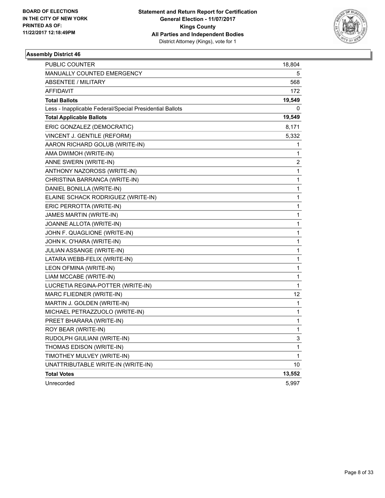

| PUBLIC COUNTER                                           | 18,804                  |
|----------------------------------------------------------|-------------------------|
| <b>MANUALLY COUNTED EMERGENCY</b>                        | 5                       |
| <b>ABSENTEE / MILITARY</b>                               | 568                     |
| <b>AFFIDAVIT</b>                                         | 172                     |
| <b>Total Ballots</b>                                     | 19,549                  |
| Less - Inapplicable Federal/Special Presidential Ballots | 0                       |
| <b>Total Applicable Ballots</b>                          | 19,549                  |
| ERIC GONZALEZ (DEMOCRATIC)                               | 8,171                   |
| VINCENT J. GENTILE (REFORM)                              | 5,332                   |
| AARON RICHARD GOLUB (WRITE-IN)                           | 1                       |
| AMA DWIMOH (WRITE-IN)                                    | 1                       |
| ANNE SWERN (WRITE-IN)                                    | $\overline{\mathbf{c}}$ |
| ANTHONY NAZOROSS (WRITE-IN)                              | 1                       |
| CHRISTINA BARRANCA (WRITE-IN)                            | 1                       |
| DANIEL BONILLA (WRITE-IN)                                | 1                       |
| ELAINE SCHACK RODRIGUEZ (WRITE-IN)                       | 1                       |
| ERIC PERROTTA (WRITE-IN)                                 | 1                       |
| JAMES MARTIN (WRITE-IN)                                  | 1                       |
| JOANNE ALLOTA (WRITE-IN)                                 | 1                       |
| JOHN F. QUAGLIONE (WRITE-IN)                             | 1                       |
| JOHN K. O'HARA (WRITE-IN)                                | 1                       |
| JULIAN ASSANGE (WRITE-IN)                                | 1                       |
| LATARA WEBB-FELIX (WRITE-IN)                             | 1                       |
| LEON OFMINA (WRITE-IN)                                   | 1                       |
| LIAM MCCABE (WRITE-IN)                                   | 1                       |
| LUCRETIA REGINA-POTTER (WRITE-IN)                        | 1                       |
| MARC FLIEDNER (WRITE-IN)                                 | 12                      |
| MARTIN J. GOLDEN (WRITE-IN)                              | 1                       |
| MICHAEL PETRAZZUOLO (WRITE-IN)                           | 1                       |
| PREET BHARARA (WRITE-IN)                                 | 1                       |
| ROY BEAR (WRITE-IN)                                      | 1                       |
| RUDOLPH GIULIANI (WRITE-IN)                              | 3                       |
| THOMAS EDISON (WRITE-IN)                                 | 1                       |
| TIMOTHEY MULVEY (WRITE-IN)                               | 1                       |
| UNATTRIBUTABLE WRITE-IN (WRITE-IN)                       | 10                      |
| <b>Total Votes</b>                                       | 13,552                  |
| Unrecorded                                               | 5,997                   |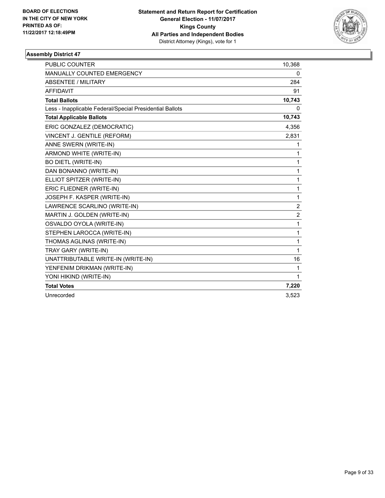

| <b>PUBLIC COUNTER</b>                                    | 10,368         |
|----------------------------------------------------------|----------------|
| <b>MANUALLY COUNTED EMERGENCY</b>                        | 0              |
| <b>ABSENTEE / MILITARY</b>                               | 284            |
| <b>AFFIDAVIT</b>                                         | 91             |
| <b>Total Ballots</b>                                     | 10,743         |
| Less - Inapplicable Federal/Special Presidential Ballots | 0              |
| <b>Total Applicable Ballots</b>                          | 10,743         |
| ERIC GONZALEZ (DEMOCRATIC)                               | 4,356          |
| VINCENT J. GENTILE (REFORM)                              | 2,831          |
| ANNE SWERN (WRITE-IN)                                    | $\mathbf 1$    |
| ARMOND WHITE (WRITE-IN)                                  | 1              |
| <b>BO DIETL (WRITE-IN)</b>                               | $\mathbf{1}$   |
| DAN BONANNO (WRITE-IN)                                   | $\mathbf{1}$   |
| ELLIOT SPITZER (WRITE-IN)                                | 1              |
| ERIC FLIEDNER (WRITE-IN)                                 | $\mathbf{1}$   |
| JOSEPH F. KASPER (WRITE-IN)                              | 1              |
| LAWRENCE SCARLINO (WRITE-IN)                             | $\overline{2}$ |
| MARTIN J. GOLDEN (WRITE-IN)                              | $\overline{2}$ |
| OSVALDO OYOLA (WRITE-IN)                                 | $\mathbf{1}$   |
| STEPHEN LAROCCA (WRITE-IN)                               | 1              |
| THOMAS AGLINAS (WRITE-IN)                                | $\mathbf{1}$   |
| TRAY GARY (WRITE-IN)                                     | 1              |
| UNATTRIBUTABLE WRITE-IN (WRITE-IN)                       | 16             |
| YENFENIM DRIKMAN (WRITE-IN)                              | $\mathbf{1}$   |
| YONI HIKIND (WRITE-IN)                                   | $\mathbf{1}$   |
| <b>Total Votes</b>                                       | 7,220          |
| Unrecorded                                               | 3,523          |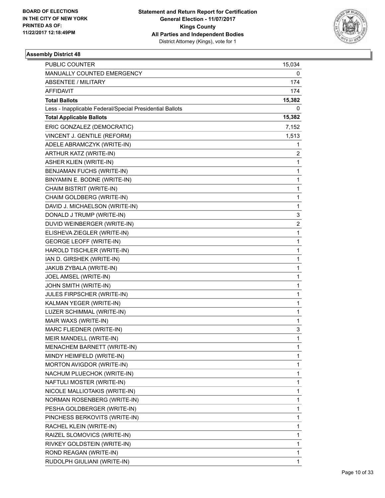

| <b>PUBLIC COUNTER</b>                                    | 15,034                  |
|----------------------------------------------------------|-------------------------|
| MANUALLY COUNTED EMERGENCY                               | 0                       |
| <b>ABSENTEE / MILITARY</b>                               | 174                     |
| AFFIDAVIT                                                | 174                     |
| <b>Total Ballots</b>                                     | 15,382                  |
| Less - Inapplicable Federal/Special Presidential Ballots | 0                       |
| <b>Total Applicable Ballots</b>                          | 15,382                  |
| ERIC GONZALEZ (DEMOCRATIC)                               | 7,152                   |
| VINCENT J. GENTILE (REFORM)                              | 1,513                   |
| ADELE ABRAMCZYK (WRITE-IN)                               | 1                       |
| ARTHUR KATZ (WRITE-IN)                                   | 2                       |
| <b>ASHER KLIEN (WRITE-IN)</b>                            | 1                       |
| BENJAMAN FUCHS (WRITE-IN)                                | 1                       |
| BINYAMIN E. BODNE (WRITE-IN)                             | 1                       |
| CHAIM BISTRIT (WRITE-IN)                                 | 1                       |
| CHAIM GOLDBERG (WRITE-IN)                                | 1                       |
| DAVID J. MICHAELSON (WRITE-IN)                           | 1                       |
| DONALD J TRUMP (WRITE-IN)                                | 3                       |
| DUVID WEINBERGER (WRITE-IN)                              | $\overline{\mathbf{c}}$ |
| ELISHEVA ZIEGLER (WRITE-IN)                              | 1                       |
| <b>GEORGE LEOFF (WRITE-IN)</b>                           | 1                       |
| HAROLD TISCHLER (WRITE-IN)                               | 1                       |
| IAN D. GIRSHEK (WRITE-IN)                                | 1                       |
| JAKUB ZYBALA (WRITE-IN)                                  | 1                       |
| JOEL AMSEL (WRITE-IN)                                    | 1                       |
| JOHN SMITH (WRITE-IN)                                    | 1                       |
| JULES FIRPSCHER (WRITE-IN)                               | 1                       |
| KALMAN YEGER (WRITE-IN)                                  | 1                       |
| LUZER SCHIMMAL (WRITE-IN)                                | 1                       |
| MAIR WAXS (WRITE-IN)                                     | 1                       |
| MARC FLIEDNER (WRITE-IN)                                 | 3                       |
| MEIR MANDELL (WRITE-IN)                                  | $\mathbf{1}$            |
| MENACHEM BARNETT (WRITE-IN)                              | 1                       |
| MINDY HEIMFELD (WRITE-IN)                                | 1                       |
| MORTON AVIGDOR (WRITE-IN)                                | 1                       |
| NACHUM PLUECHOK (WRITE-IN)                               | 1                       |
| NAFTULI MOSTER (WRITE-IN)                                | 1                       |
| NICOLE MALLIOTAKIS (WRITE-IN)                            | 1                       |
| NORMAN ROSENBERG (WRITE-IN)                              | 1                       |
| PESHA GOLDBERGER (WRITE-IN)                              | 1                       |
| PINCHESS BERKOVITS (WRITE-IN)                            | 1                       |
| RACHEL KLEIN (WRITE-IN)                                  | 1                       |
| RAIZEL SLOMOVICS (WRITE-IN)                              | 1                       |
| RIVKEY GOLDSTEIN (WRITE-IN)                              | 1                       |
| ROND REAGAN (WRITE-IN)                                   | 1                       |
| RUDOLPH GIULIANI (WRITE-IN)                              | 1                       |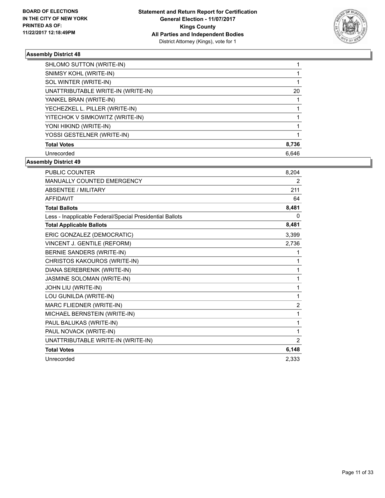

| SHLOMO SUTTON (WRITE-IN)           |       |
|------------------------------------|-------|
| SNIMSY KOHL (WRITE-IN)             |       |
| SOL WINTER (WRITE-IN)              |       |
| UNATTRIBUTABLE WRITE-IN (WRITE-IN) | 20    |
| YANKEL BRAN (WRITE-IN)             |       |
| YECHEZKEL L. PILLER (WRITE-IN)     |       |
| YITECHOK V SIMKOWITZ (WRITE-IN)    |       |
| YONI HIKIND (WRITE-IN)             |       |
| YOSSI GESTELNER (WRITE-IN)         |       |
| <b>Total Votes</b>                 | 8,736 |
| Unrecorded                         | 6.646 |

| <b>PUBLIC COUNTER</b>                                    | 8,204 |
|----------------------------------------------------------|-------|
| <b>MANUALLY COUNTED EMERGENCY</b>                        | 2     |
| <b>ABSENTEE / MILITARY</b>                               | 211   |
| <b>AFFIDAVIT</b>                                         | 64    |
| <b>Total Ballots</b>                                     | 8,481 |
| Less - Inapplicable Federal/Special Presidential Ballots | 0     |
| <b>Total Applicable Ballots</b>                          | 8,481 |
| ERIC GONZALEZ (DEMOCRATIC)                               | 3,399 |
| VINCENT J. GENTILE (REFORM)                              | 2,736 |
| BERNIE SANDERS (WRITE-IN)                                | 1     |
| CHRISTOS KAKOUROS (WRITE-IN)                             | 1     |
| DIANA SEREBRENIK (WRITE-IN)                              | 1     |
| JASMINE SOLOMAN (WRITE-IN)                               | 1     |
| JOHN LIU (WRITE-IN)                                      | 1     |
| LOU GUNILDA (WRITE-IN)                                   | 1     |
| MARC FLIEDNER (WRITE-IN)                                 | 2     |
| MICHAEL BERNSTEIN (WRITE-IN)                             | 1     |
| PAUL BALUKAS (WRITE-IN)                                  | 1     |
| PAUL NOVACK (WRITE-IN)                                   | 1     |
| UNATTRIBUTABLE WRITE-IN (WRITE-IN)                       | 2     |
| <b>Total Votes</b>                                       | 6,148 |
| Unrecorded                                               | 2.333 |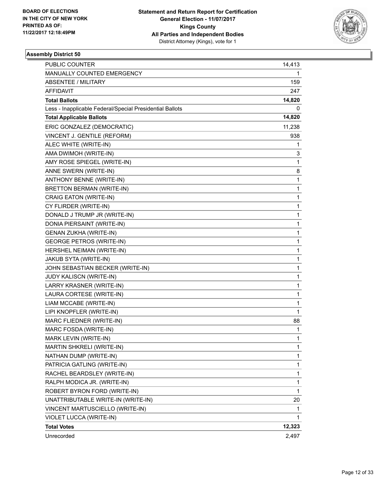

| <b>PUBLIC COUNTER</b>                                    | 14,413       |
|----------------------------------------------------------|--------------|
| MANUALLY COUNTED EMERGENCY                               | 1            |
| ABSENTEE / MILITARY                                      | 159          |
| AFFIDAVIT                                                | 247          |
| <b>Total Ballots</b>                                     | 14,820       |
| Less - Inapplicable Federal/Special Presidential Ballots | 0            |
| <b>Total Applicable Ballots</b>                          | 14,820       |
| ERIC GONZALEZ (DEMOCRATIC)                               | 11,238       |
| VINCENT J. GENTILE (REFORM)                              | 938          |
| ALEC WHITE (WRITE-IN)                                    | 1            |
| AMA DWIMOH (WRITE-IN)                                    | 3            |
| AMY ROSE SPIEGEL (WRITE-IN)                              | 1            |
| ANNE SWERN (WRITE-IN)                                    | 8            |
| ANTHONY BENNE (WRITE-IN)                                 | $\mathbf{1}$ |
| <b>BRETTON BERMAN (WRITE-IN)</b>                         | 1            |
| CRAIG EATON (WRITE-IN)                                   | 1            |
| CY FLIRDER (WRITE-IN)                                    | 1            |
| DONALD J TRUMP JR (WRITE-IN)                             | 1            |
| DONIA PIERSAINT (WRITE-IN)                               | 1            |
| <b>GENAN ZUKHA (WRITE-IN)</b>                            | 1            |
| <b>GEORGE PETROS (WRITE-IN)</b>                          | 1            |
| HERSHEL NEIMAN (WRITE-IN)                                | 1            |
| JAKUB SYTA (WRITE-IN)                                    | 1            |
| JOHN SEBASTIAN BECKER (WRITE-IN)                         | 1            |
| JUDY KALISCN (WRITE-IN)                                  | 1            |
| LARRY KRASNER (WRITE-IN)                                 | 1            |
| LAURA CORTESE (WRITE-IN)                                 | 1            |
| LIAM MCCABE (WRITE-IN)                                   | 1            |
| LIPI KNOPFLER (WRITE-IN)                                 | $\mathbf{1}$ |
| MARC FLIEDNER (WRITE-IN)                                 | 88           |
| MARC FOSDA (WRITE-IN)                                    | 1            |
| MARK LEVIN (WRITE-IN)                                    | $\mathbf{1}$ |
| MARTIN SHKRELI (WRITE-IN)                                | 1            |
| NATHAN DUMP (WRITE-IN)                                   | 1            |
| PATRICIA GATLING (WRITE-IN)                              | $\mathbf 1$  |
| RACHEL BEARDSLEY (WRITE-IN)                              | 1            |
| RALPH MODICA JR. (WRITE-IN)                              | 1            |
| ROBERT BYRON FORD (WRITE-IN)                             | $\mathbf{1}$ |
| UNATTRIBUTABLE WRITE-IN (WRITE-IN)                       | 20           |
| VINCENT MARTUSCIELLO (WRITE-IN)                          | 1            |
| VIOLET LUCCA (WRITE-IN)                                  | 1            |
| <b>Total Votes</b>                                       | 12,323       |
| Unrecorded                                               | 2,497        |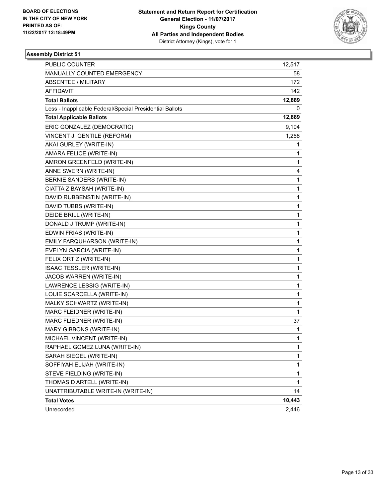

| <b>PUBLIC COUNTER</b>                                    | 12,517       |
|----------------------------------------------------------|--------------|
| MANUALLY COUNTED EMERGENCY                               | 58           |
| <b>ABSENTEE / MILITARY</b>                               | 172          |
| AFFIDAVIT                                                | 142          |
| <b>Total Ballots</b>                                     | 12,889       |
| Less - Inapplicable Federal/Special Presidential Ballots | 0            |
| <b>Total Applicable Ballots</b>                          | 12,889       |
| ERIC GONZALEZ (DEMOCRATIC)                               | 9,104        |
| VINCENT J. GENTILE (REFORM)                              | 1,258        |
| AKAI GURLEY (WRITE-IN)                                   | 1            |
| AMARA FELICE (WRITE-IN)                                  | 1            |
| AMRON GREENFELD (WRITE-IN)                               | 1            |
| ANNE SWERN (WRITE-IN)                                    | 4            |
| BERNIE SANDERS (WRITE-IN)                                | $\mathbf{1}$ |
| CIATTA Z BAYSAH (WRITE-IN)                               | 1            |
| DAVID RUBBENSTIN (WRITE-IN)                              | $\mathbf 1$  |
| DAVID TUBBS (WRITE-IN)                                   | $\mathbf{1}$ |
| DEIDE BRILL (WRITE-IN)                                   | 1            |
| DONALD J TRUMP (WRITE-IN)                                | 1            |
| EDWIN FRIAS (WRITE-IN)                                   | $\mathbf{1}$ |
| EMILY FARQUHARSON (WRITE-IN)                             | 1            |
| EVELYN GARCIA (WRITE-IN)                                 | $\mathbf 1$  |
| FELIX ORTIZ (WRITE-IN)                                   | $\mathbf{1}$ |
| <b>ISAAC TESSLER (WRITE-IN)</b>                          | 1            |
| JACOB WARREN (WRITE-IN)                                  | 1            |
| LAWRENCE LESSIG (WRITE-IN)                               | $\mathbf{1}$ |
| LOUIE SCARCELLA (WRITE-IN)                               | 1            |
| MALKY SCHWARTZ (WRITE-IN)                                | 1            |
| MARC FLEIDNER (WRITE-IN)                                 | $\mathbf 1$  |
| MARC FLIEDNER (WRITE-IN)                                 | 37           |
| MARY GIBBONS (WRITE-IN)                                  | 1            |
| MICHAEL VINCENT (WRITE-IN)                               | $\mathbf{1}$ |
| RAPHAEL GOMEZ LUNA (WRITE-IN)                            | 1            |
| SARAH SIEGEL (WRITE-IN)                                  | 1            |
| SOFFIYAH ELIJAH (WRITE-IN)                               | $\mathbf{1}$ |
| STEVE FIELDING (WRITE-IN)                                | 1            |
| THOMAS D ARTELL (WRITE-IN)                               | 1            |
| UNATTRIBUTABLE WRITE-IN (WRITE-IN)                       | 14           |
| <b>Total Votes</b>                                       | 10,443       |
| Unrecorded                                               | 2,446        |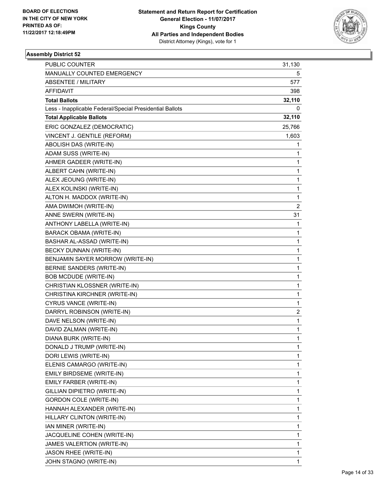

| PUBLIC COUNTER                                           | 31,130       |
|----------------------------------------------------------|--------------|
| MANUALLY COUNTED EMERGENCY                               | 5            |
| <b>ABSENTEE / MILITARY</b>                               | 577          |
| AFFIDAVIT                                                | 398          |
| <b>Total Ballots</b>                                     | 32,110       |
| Less - Inapplicable Federal/Special Presidential Ballots | 0            |
| <b>Total Applicable Ballots</b>                          | 32,110       |
| ERIC GONZALEZ (DEMOCRATIC)                               | 25,766       |
| VINCENT J. GENTILE (REFORM)                              | 1,603        |
| ABOLISH DAS (WRITE-IN)                                   | 1            |
| ADAM SUSS (WRITE-IN)                                     | 1            |
| AHMER GADEER (WRITE-IN)                                  | 1            |
| ALBERT CAHN (WRITE-IN)                                   | 1            |
| ALEX JEOUNG (WRITE-IN)                                   | 1            |
| ALEX KOLINSKI (WRITE-IN)                                 | $\mathbf{1}$ |
| ALTON H. MADDOX (WRITE-IN)                               | 1            |
| AMA DWIMOH (WRITE-IN)                                    | 2            |
| ANNE SWERN (WRITE-IN)                                    | 31           |
| ANTHONY LABELLA (WRITE-IN)                               | 1            |
| <b>BARACK OBAMA (WRITE-IN)</b>                           | 1            |
| BASHAR AL-ASSAD (WRITE-IN)                               | 1            |
| BECKY DUNNAN (WRITE-IN)                                  | 1            |
| BENJAMIN SAYER MORROW (WRITE-IN)                         | 1            |
| <b>BERNIE SANDERS (WRITE-IN)</b>                         | 1            |
| BOB MCDUDE (WRITE-IN)                                    | 1            |
| CHRISTIAN KLOSSNER (WRITE-IN)                            | 1            |
| CHRISTINA KIRCHNER (WRITE-IN)                            | $\mathbf{1}$ |
| CYRUS VANCE (WRITE-IN)                                   | 1            |
| DARRYL ROBINSON (WRITE-IN)                               | 2            |
| DAVE NELSON (WRITE-IN)                                   | 1            |
| DAVID ZALMAN (WRITE-IN)                                  | $\mathbf{1}$ |
| DIANA BURK (WRITE-IN)                                    | 1            |
| DONALD J TRUMP (WRITE-IN)                                | 1            |
| DORI LEWIS (WRITE-IN)                                    | 1            |
| ELENIS CAMARGO (WRITE-IN)                                | 1            |
| EMILY BIRDSEME (WRITE-IN)                                | 1            |
| EMILY FARBER (WRITE-IN)                                  | 1            |
| GILLIAN DIPIETRO (WRITE-IN)                              | 1            |
| <b>GORDON COLE (WRITE-IN)</b>                            | 1            |
| HANNAH ALEXANDER (WRITE-IN)                              | 1            |
| HILLARY CLINTON (WRITE-IN)                               | 1            |
| IAN MINER (WRITE-IN)                                     | 1            |
| JACQUELINE COHEN (WRITE-IN)                              | 1            |
| JAMES VALERTION (WRITE-IN)                               | 1            |
| JASON RHEE (WRITE-IN)                                    | 1            |
| JOHN STAGNO (WRITE-IN)                                   | 1            |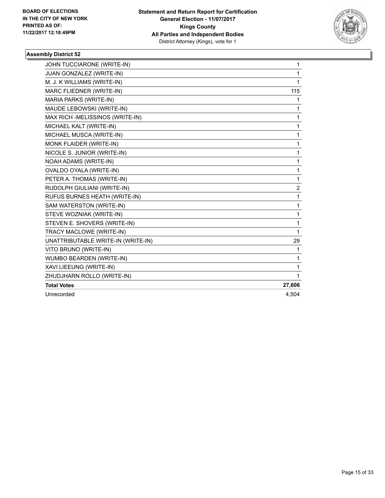

| JOHN TUCCIARONE (WRITE-IN)         | 1            |
|------------------------------------|--------------|
| JUAN GONZALEZ (WRITE-IN)           | 1            |
| M. J. K WILLIAMS (WRITE-IN)        | 1            |
| MARC FLIEDNER (WRITE-IN)           | 115          |
| MARIA PARKS (WRITE-IN)             | 1            |
| MAUDE LEBOWSKI (WRITE-IN)          | 1            |
| MAX RICH -MELISSINOS (WRITE-IN)    | 1            |
| MICHAEL KALT (WRITE-IN)            | 1            |
| MICHAEL MUSCA (WRITE-IN)           | 1            |
| MONK FLAIDER (WRITE-IN)            | 1            |
| NICOLE S. JUNIOR (WRITE-IN)        | 1            |
| NOAH ADAMS (WRITE-IN)              | 1            |
| OVALDO OYALA (WRITE-IN)            | 1            |
| PETER A. THOMAS (WRITE-IN)         | $\mathbf{1}$ |
| RUDOLPH GIULIANI (WRITE-IN)        | 2            |
| RUFUS BURNES HEATH (WRITE-IN)      | 1            |
| SAM WATERSTON (WRITE-IN)           | $\mathbf{1}$ |
| STEVE WOZNIAK (WRITE-IN)           | 1            |
| STEVEN E. SHOVERS (WRITE-IN)       | 1            |
| TRACY MACLOWE (WRITE-IN)           | 1            |
| UNATTRIBUTABLE WRITE-IN (WRITE-IN) | 29           |
| VITO BRUNO (WRITE-IN)              | 1            |
| WUMBO BEARDEN (WRITE-IN)           | 1            |
| XAVI LIEEUNG (WRITE-IN)            | 1            |
| ZHUDJHARN ROLLO (WRITE-IN)         | 1            |
| <b>Total Votes</b>                 | 27,606       |
| Unrecorded                         | 4.504        |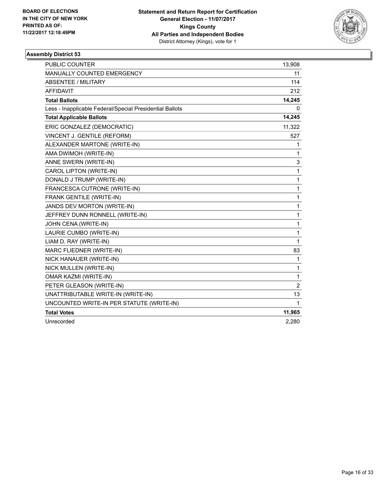

| <b>PUBLIC COUNTER</b>                                    | 13,908       |
|----------------------------------------------------------|--------------|
| <b>MANUALLY COUNTED EMERGENCY</b>                        | 11           |
| ABSENTEE / MILITARY                                      | 114          |
| <b>AFFIDAVIT</b>                                         | 212          |
| <b>Total Ballots</b>                                     | 14,245       |
| Less - Inapplicable Federal/Special Presidential Ballots | 0            |
| <b>Total Applicable Ballots</b>                          | 14,245       |
| ERIC GONZALEZ (DEMOCRATIC)                               | 11,322       |
| VINCENT J. GENTILE (REFORM)                              | 527          |
| ALEXANDER MARTONE (WRITE-IN)                             | 1            |
| AMA DWIMOH (WRITE-IN)                                    | 1            |
| ANNE SWERN (WRITE-IN)                                    | 3            |
| CAROL LIPTON (WRITE-IN)                                  | $\mathbf{1}$ |
| DONALD J TRUMP (WRITE-IN)                                | 1            |
| FRANCESCA CUTRONE (WRITE-IN)                             | 1            |
| FRANK GENTILE (WRITE-IN)                                 | 1            |
| JANDS DEV MORTON (WRITE-IN)                              | 1            |
| JEFFREY DUNN RONNELL (WRITE-IN)                          | 1            |
| JOHN CENA (WRITE-IN)                                     | 1            |
| LAURIE CUMBO (WRITE-IN)                                  | 1            |
| LIAM D. RAY (WRITE-IN)                                   | $\mathbf{1}$ |
| MARC FLIEDNER (WRITE-IN)                                 | 83           |
| NICK HANAUER (WRITE-IN)                                  | 1            |
| NICK MULLEN (WRITE-IN)                                   | 1            |
| <b>OMAR KAZMI (WRITE-IN)</b>                             | 1            |
| PETER GLEASON (WRITE-IN)                                 | 2            |
| UNATTRIBUTABLE WRITE-IN (WRITE-IN)                       | 13           |
| UNCOUNTED WRITE-IN PER STATUTE (WRITE-IN)                | 1            |
| <b>Total Votes</b>                                       | 11,965       |
| Unrecorded                                               | 2,280        |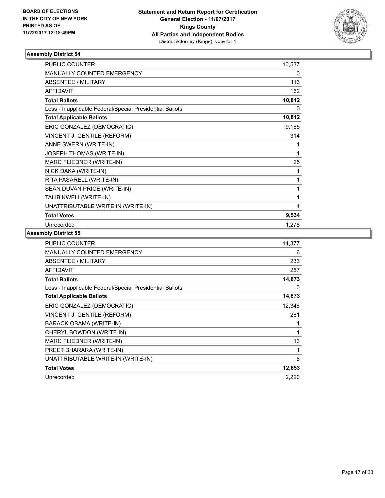

| <b>PUBLIC COUNTER</b>                                    | 10,537 |
|----------------------------------------------------------|--------|
| <b>MANUALLY COUNTED EMERGENCY</b>                        | 0      |
| <b>ABSENTEE / MILITARY</b>                               | 113    |
| <b>AFFIDAVIT</b>                                         | 162    |
| <b>Total Ballots</b>                                     | 10,812 |
| Less - Inapplicable Federal/Special Presidential Ballots | 0      |
| <b>Total Applicable Ballots</b>                          | 10,812 |
| ERIC GONZALEZ (DEMOCRATIC)                               | 9,185  |
| VINCENT J. GENTILE (REFORM)                              | 314    |
| ANNE SWERN (WRITE-IN)                                    | 1      |
| JOSEPH THOMAS (WRITE-IN)                                 | 1      |
| MARC FLIEDNER (WRITE-IN)                                 | 25     |
| NICK DAKA (WRITE-IN)                                     | 1      |
| RITA PASARELL (WRITE-IN)                                 | 1      |
| SEAN DUVAN PRICE (WRITE-IN)                              | 1      |
| TALIB KWELI (WRITE-IN)                                   | 1      |
| UNATTRIBUTABLE WRITE-IN (WRITE-IN)                       | 4      |
| <b>Total Votes</b>                                       | 9,534  |
| Unrecorded                                               | 1,278  |

| <b>PUBLIC COUNTER</b>                                    | 14,377 |
|----------------------------------------------------------|--------|
| <b>MANUALLY COUNTED EMERGENCY</b>                        | 6      |
| ABSENTEE / MILITARY                                      | 233    |
| <b>AFFIDAVIT</b>                                         | 257    |
| <b>Total Ballots</b>                                     | 14,873 |
| Less - Inapplicable Federal/Special Presidential Ballots | 0      |
| <b>Total Applicable Ballots</b>                          | 14,873 |
| ERIC GONZALEZ (DEMOCRATIC)                               | 12,348 |
| VINCENT J. GENTILE (REFORM)                              | 281    |
| BARACK OBAMA (WRITE-IN)                                  | 1      |
| CHERYL BOWDON (WRITE-IN)                                 | 1      |
| MARC FLIEDNER (WRITE-IN)                                 | 13     |
| PREET BHARARA (WRITE-IN)                                 | 1      |
| UNATTRIBUTABLE WRITE-IN (WRITE-IN)                       | 8      |
| <b>Total Votes</b>                                       | 12,653 |
| Unrecorded                                               | 2,220  |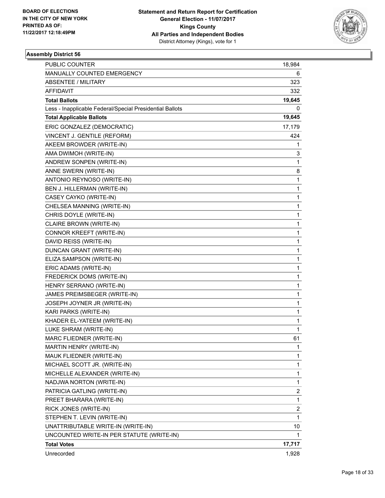

| PUBLIC COUNTER                                           | 18,984 |
|----------------------------------------------------------|--------|
| MANUALLY COUNTED EMERGENCY                               | 6      |
| ABSENTEE / MILITARY                                      | 323    |
| <b>AFFIDAVIT</b>                                         | 332    |
| <b>Total Ballots</b>                                     | 19,645 |
| Less - Inapplicable Federal/Special Presidential Ballots | 0      |
| <b>Total Applicable Ballots</b>                          | 19,645 |
| ERIC GONZALEZ (DEMOCRATIC)                               | 17,179 |
| VINCENT J. GENTILE (REFORM)                              | 424    |
| AKEEM BROWDER (WRITE-IN)                                 | 1      |
| AMA DWIMOH (WRITE-IN)                                    | 3      |
| ANDREW SONPEN (WRITE-IN)                                 | 1      |
| ANNE SWERN (WRITE-IN)                                    | 8      |
| ANTONIO REYNOSO (WRITE-IN)                               | 1      |
| BEN J. HILLERMAN (WRITE-IN)                              | 1      |
| CASEY CAYKO (WRITE-IN)                                   | 1      |
| CHELSEA MANNING (WRITE-IN)                               | 1      |
| CHRIS DOYLE (WRITE-IN)                                   | 1      |
| CLAIRE BROWN (WRITE-IN)                                  | 1      |
| CONNOR KREEFT (WRITE-IN)                                 | 1      |
| DAVID REISS (WRITE-IN)                                   | 1      |
| DUNCAN GRANT (WRITE-IN)                                  | 1      |
| ELIZA SAMPSON (WRITE-IN)                                 | 1      |
| ERIC ADAMS (WRITE-IN)                                    | 1      |
| FREDERICK DOMS (WRITE-IN)                                | 1      |
| HENRY SERRANO (WRITE-IN)                                 | 1      |
| JAMES PREIMSBEGER (WRITE-IN)                             | 1      |
| JOSEPH JOYNER JR (WRITE-IN)                              | 1      |
| KARI PARKS (WRITE-IN)                                    | 1      |
| KHADER EL-YATEEM (WRITE-IN)                              | 1      |
| LUKE SHRAM (WRITE-IN)                                    | 1      |
| MARC FLIEDNER (WRITE-IN)                                 | 61     |
| MARTIN HENRY (WRITE-IN)                                  | 1      |
| MAUK FLIEDNER (WRITE-IN)                                 | 1      |
| MICHAEL SCOTT JR. (WRITE-IN)                             | 1      |
| MICHELLE ALEXANDER (WRITE-IN)                            | 1      |
| NADJWA NORTON (WRITE-IN)                                 | 1      |
| PATRICIA GATLING (WRITE-IN)                              | 2      |
| PREET BHARARA (WRITE-IN)                                 | 1      |
| RICK JONES (WRITE-IN)                                    | 2      |
| STEPHEN T. LEVIN (WRITE-IN)                              | 1      |
| UNATTRIBUTABLE WRITE-IN (WRITE-IN)                       | 10     |
| UNCOUNTED WRITE-IN PER STATUTE (WRITE-IN)                | 1      |
| <b>Total Votes</b>                                       | 17,717 |
| Unrecorded                                               | 1,928  |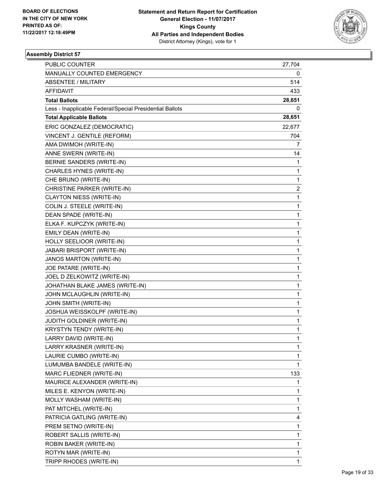

| PUBLIC COUNTER                                           | 27,704                  |
|----------------------------------------------------------|-------------------------|
| MANUALLY COUNTED EMERGENCY                               | 0                       |
| <b>ABSENTEE / MILITARY</b>                               | 514                     |
| AFFIDAVIT                                                | 433                     |
| <b>Total Ballots</b>                                     | 28,651                  |
| Less - Inapplicable Federal/Special Presidential Ballots | 0                       |
| <b>Total Applicable Ballots</b>                          | 28,651                  |
| ERIC GONZALEZ (DEMOCRATIC)                               | 22,677                  |
| VINCENT J. GENTILE (REFORM)                              | 704                     |
| AMA DWIMOH (WRITE-IN)                                    | 7                       |
| ANNE SWERN (WRITE-IN)                                    | 14                      |
| BERNIE SANDERS (WRITE-IN)                                | 1                       |
| CHARLES HYNES (WRITE-IN)                                 | $\mathbf{1}$            |
| CHE BRUNO (WRITE-IN)                                     | 1                       |
| CHRISTINE PARKER (WRITE-IN)                              | $\overline{\mathbf{c}}$ |
| CLAYTON NIESS (WRITE-IN)                                 | 1                       |
| COLIN J. STEELE (WRITE-IN)                               | 1                       |
| DEAN SPADE (WRITE-IN)                                    | 1                       |
| ELKA F. KUPCZYK (WRITE-IN)                               | 1                       |
| EMILY DEAN (WRITE-IN)                                    | 1                       |
| HOLLY SEELIOOR (WRITE-IN)                                | 1                       |
| JABARI BRISPORT (WRITE-IN)                               | 1                       |
| JANOS MARTON (WRITE-IN)                                  | 1                       |
| JOE PATARE (WRITE-IN)                                    | 1                       |
| JOEL D ZELKOWITZ (WRITE-IN)                              | 1                       |
| JOHATHAN BLAKE JAMES (WRITE-IN)                          | 1                       |
| JOHN MCLAUGHLIN (WRITE-IN)                               | 1                       |
| JOHN SMITH (WRITE-IN)                                    | 1                       |
| JOSHUA WEISSKOLPF (WRITE-IN)                             | 1                       |
| JUDITH GOLDINER (WRITE-IN)                               | 1                       |
| <b>KRYSTYN TENDY (WRITE-IN)</b>                          | $\mathbf{1}$            |
| LARRY DAVID (WRITE-IN)                                   | 1                       |
| LARRY KRASNER (WRITE-IN)                                 | 1                       |
| LAURIE CUMBO (WRITE-IN)                                  | 1                       |
| LUMUMBA BANDELE (WRITE-IN)                               | 1                       |
| MARC FLIEDNER (WRITE-IN)                                 | 133                     |
| MAURICE ALEXANDER (WRITE-IN)                             | 1                       |
| MILES E. KENYON (WRITE-IN)                               | 1                       |
| MOLLY WASHAM (WRITE-IN)                                  | 1                       |
| PAT MITCHEL (WRITE-IN)                                   | 1                       |
| PATRICIA GATLING (WRITE-IN)                              | 4                       |
| PREM SETNO (WRITE-IN)                                    | 1                       |
| ROBERT SALLIS (WRITE-IN)                                 | 1                       |
| ROBIN BAKER (WRITE-IN)                                   | 1                       |
| ROTYN MAR (WRITE-IN)                                     | 1                       |
| TRIPP RHODES (WRITE-IN)                                  | 1                       |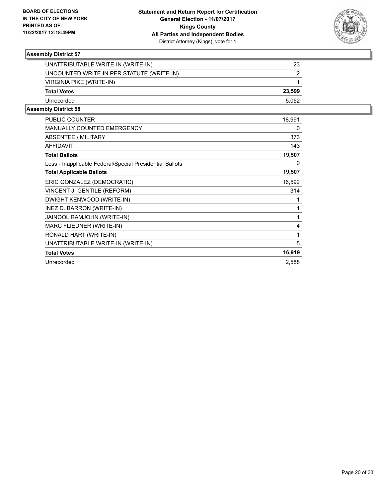

| UNATTRIBUTABLE WRITE-IN (WRITE-IN)        | 23     |
|-------------------------------------------|--------|
| UNCOUNTED WRITE-IN PER STATUTE (WRITE-IN) |        |
| VIRGINIA PIKE (WRITE-IN)                  |        |
| <b>Total Votes</b>                        | 23.599 |
| Unrecorded                                | 5.052  |
|                                           |        |

| <b>PUBLIC COUNTER</b>                                    | 18,991 |
|----------------------------------------------------------|--------|
| <b>MANUALLY COUNTED EMERGENCY</b>                        | 0      |
| ABSENTEE / MILITARY                                      | 373    |
| <b>AFFIDAVIT</b>                                         | 143    |
| <b>Total Ballots</b>                                     | 19,507 |
| Less - Inapplicable Federal/Special Presidential Ballots | 0      |
| <b>Total Applicable Ballots</b>                          | 19,507 |
| ERIC GONZALEZ (DEMOCRATIC)                               | 16,592 |
| VINCENT J. GENTILE (REFORM)                              | 314    |
| DWIGHT KENWOOD (WRITE-IN)                                | 1      |
| INEZ D. BARRON (WRITE-IN)                                | 1      |
| JAINOOL RAMJOHN (WRITE-IN)                               | 1      |
| MARC FLIEDNER (WRITE-IN)                                 | 4      |
| RONALD HART (WRITE-IN)                                   | 1      |
| UNATTRIBUTABLE WRITE-IN (WRITE-IN)                       | 5      |
| <b>Total Votes</b>                                       | 16,919 |
| Unrecorded                                               | 2,588  |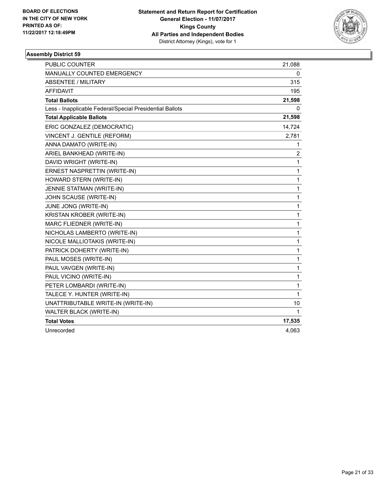

| <b>PUBLIC COUNTER</b>                                    | 21,088         |
|----------------------------------------------------------|----------------|
| MANUALLY COUNTED EMERGENCY                               | 0              |
| <b>ABSENTEE / MILITARY</b>                               | 315            |
| <b>AFFIDAVIT</b>                                         | 195            |
| <b>Total Ballots</b>                                     | 21,598         |
| Less - Inapplicable Federal/Special Presidential Ballots | 0              |
| <b>Total Applicable Ballots</b>                          | 21,598         |
| ERIC GONZALEZ (DEMOCRATIC)                               | 14,724         |
| VINCENT J. GENTILE (REFORM)                              | 2,781          |
| ANNA DAMATO (WRITE-IN)                                   | 1              |
| ARIEL BANKHEAD (WRITE-IN)                                | $\overline{2}$ |
| DAVID WRIGHT (WRITE-IN)                                  | $\mathbf{1}$   |
| ERNEST NASPRETTIN (WRITE-IN)                             | $\mathbf 1$    |
| HOWARD STERN (WRITE-IN)                                  | 1              |
| JENNIE STATMAN (WRITE-IN)                                | 1              |
| JOHN SCAUSE (WRITE-IN)                                   | 1              |
| JUNE JONG (WRITE-IN)                                     | $\mathbf{1}$   |
| KRISTAN KROBER (WRITE-IN)                                | $\mathbf{1}$   |
| MARC FLIEDNER (WRITE-IN)                                 | 1              |
| NICHOLAS LAMBERTO (WRITE-IN)                             | 1              |
| NICOLE MALLIOTAKIS (WRITE-IN)                            | $\mathbf{1}$   |
| PATRICK DOHERTY (WRITE-IN)                               | $\mathbf{1}$   |
| PAUL MOSES (WRITE-IN)                                    | 1              |
| PAUL VAVGEN (WRITE-IN)                                   | 1              |
| PAUL VICINO (WRITE-IN)                                   | 1              |
| PETER LOMBARDI (WRITE-IN)                                | 1              |
| TALECE Y. HUNTER (WRITE-IN)                              | $\mathbf{1}$   |
| UNATTRIBUTABLE WRITE-IN (WRITE-IN)                       | 10             |
| WALTER BLACK (WRITE-IN)                                  | 1              |
| <b>Total Votes</b>                                       | 17,535         |
| Unrecorded                                               | 4,063          |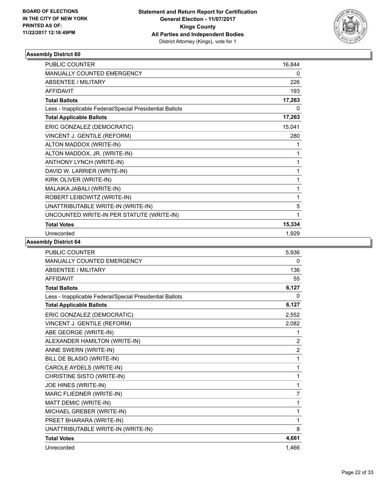

| PUBLIC COUNTER                                           | 16,844 |
|----------------------------------------------------------|--------|
| <b>MANUALLY COUNTED EMERGENCY</b>                        | 0      |
| <b>ABSENTEE / MILITARY</b>                               | 226    |
| <b>AFFIDAVIT</b>                                         | 193    |
| <b>Total Ballots</b>                                     | 17,263 |
| Less - Inapplicable Federal/Special Presidential Ballots | 0      |
| <b>Total Applicable Ballots</b>                          | 17,263 |
| ERIC GONZALEZ (DEMOCRATIC)                               | 15,041 |
| VINCENT J. GENTILE (REFORM)                              | 280    |
| ALTON MADDOX (WRITE-IN)                                  | 1      |
| ALTON MADDOX, JR. (WRITE-IN)                             | 1      |
| ANTHONY LYNCH (WRITE-IN)                                 |        |
| DAVID W. LARRIER (WRITE-IN)                              | 1      |
| KIRK OLIVER (WRITE-IN)                                   | 1      |
| MALAIKA JABALI (WRITE-IN)                                | 1      |
| ROBERT LEIBOWITZ (WRITE-IN)                              | 1      |
| UNATTRIBUTABLE WRITE-IN (WRITE-IN)                       | 5      |
| UNCOUNTED WRITE-IN PER STATUTE (WRITE-IN)                | 1      |
| <b>Total Votes</b>                                       | 15,334 |
| Unrecorded                                               | 1,929  |

| <b>PUBLIC COUNTER</b>                                    | 5,936          |
|----------------------------------------------------------|----------------|
| MANUALLY COUNTED EMERGENCY                               | $\mathbf{0}$   |
| <b>ABSENTEE / MILITARY</b>                               | 136            |
| <b>AFFIDAVIT</b>                                         | 55             |
| <b>Total Ballots</b>                                     | 6,127          |
| Less - Inapplicable Federal/Special Presidential Ballots | 0              |
| <b>Total Applicable Ballots</b>                          | 6,127          |
| ERIC GONZALEZ (DEMOCRATIC)                               | 2,552          |
| VINCENT J. GENTILE (REFORM)                              | 2.082          |
| ABE GEORGE (WRITE-IN)                                    | 1              |
| ALEXANDER HAMILTON (WRITE-IN)                            | $\overline{2}$ |
| ANNE SWERN (WRITE-IN)                                    | $\overline{c}$ |
| BILL DE BLASIO (WRITE-IN)                                | 1              |
| CAROLE AYDELS (WRITE-IN)                                 | 1              |
| CHRISTINE SISTO (WRITE-IN)                               | 1              |
| JOE HINES (WRITE-IN)                                     | 1              |
| MARC FLIEDNER (WRITE-IN)                                 | $\overline{7}$ |
| MATT DEMIC (WRITE-IN)                                    | 1              |
| MICHAEL GREBER (WRITE-IN)                                | 1              |
| PREET BHARARA (WRITE-IN)                                 | 1              |
| UNATTRIBUTABLE WRITE-IN (WRITE-IN)                       | 8              |
| <b>Total Votes</b>                                       | 4,661          |
| Unrecorded                                               | 1,466          |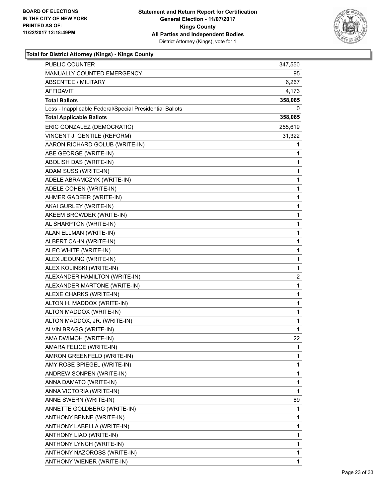

| PUBLIC COUNTER                                           | 347,550        |
|----------------------------------------------------------|----------------|
| MANUALLY COUNTED EMERGENCY                               | 95             |
| <b>ABSENTEE / MILITARY</b>                               | 6,267          |
| AFFIDAVIT                                                | 4,173          |
| <b>Total Ballots</b>                                     | 358,085        |
| Less - Inapplicable Federal/Special Presidential Ballots | 0              |
| <b>Total Applicable Ballots</b>                          | 358,085        |
| ERIC GONZALEZ (DEMOCRATIC)                               | 255,619        |
| VINCENT J. GENTILE (REFORM)                              | 31,322         |
| AARON RICHARD GOLUB (WRITE-IN)                           | 1              |
| ABE GEORGE (WRITE-IN)                                    | 1              |
| ABOLISH DAS (WRITE-IN)                                   | 1              |
| ADAM SUSS (WRITE-IN)                                     | 1              |
| ADELE ABRAMCZYK (WRITE-IN)                               | 1              |
| ADELE COHEN (WRITE-IN)                                   | 1              |
| AHMER GADEER (WRITE-IN)                                  | 1              |
| AKAI GURLEY (WRITE-IN)                                   | 1              |
| AKEEM BROWDER (WRITE-IN)                                 | 1              |
| AL SHARPTON (WRITE-IN)                                   | 1              |
| ALAN ELLMAN (WRITE-IN)                                   | 1              |
| ALBERT CAHN (WRITE-IN)                                   | 1              |
| ALEC WHITE (WRITE-IN)                                    | 1              |
| ALEX JEOUNG (WRITE-IN)                                   | 1              |
| ALEX KOLINSKI (WRITE-IN)                                 | 1              |
| ALEXANDER HAMILTON (WRITE-IN)                            | $\overline{c}$ |
| ALEXANDER MARTONE (WRITE-IN)                             | 1              |
| ALEXE CHARKS (WRITE-IN)                                  | 1              |
| ALTON H. MADDOX (WRITE-IN)                               | 1              |
| ALTON MADDOX (WRITE-IN)                                  | 1              |
| ALTON MADDOX, JR. (WRITE-IN)                             | 1              |
| ALVIN BRAGG (WRITE-IN)                                   | 1              |
| AMA DWIMOH (WRITE-IN)                                    | 22             |
| AMARA FELICE (WRITE-IN)                                  | 1              |
| AMRON GREENFELD (WRITE-IN)                               | 1              |
| AMY ROSE SPIEGEL (WRITE-IN)                              | 1              |
| ANDREW SONPEN (WRITE-IN)                                 | 1              |
| ANNA DAMATO (WRITE-IN)                                   | 1              |
| ANNA VICTORIA (WRITE-IN)                                 | 1              |
| ANNE SWERN (WRITE-IN)                                    | 89             |
| ANNETTE GOLDBERG (WRITE-IN)                              | 1              |
| ANTHONY BENNE (WRITE-IN)                                 | 1              |
| ANTHONY LABELLA (WRITE-IN)                               | 1              |
| ANTHONY LIAO (WRITE-IN)                                  | 1              |
| ANTHONY LYNCH (WRITE-IN)                                 | 1              |
| ANTHONY NAZOROSS (WRITE-IN)                              | 1              |
| ANTHONY WIENER (WRITE-IN)                                | 1              |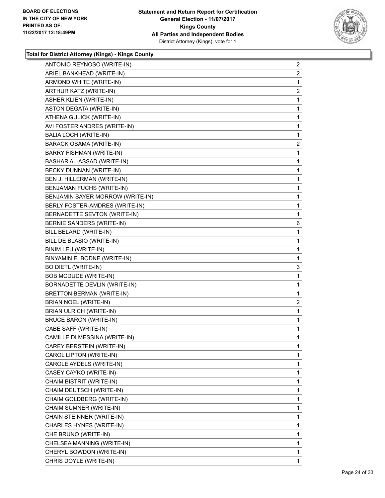

| ANTONIO REYNOSO (WRITE-IN)       | 2              |
|----------------------------------|----------------|
| ARIEL BANKHEAD (WRITE-IN)        | $\overline{c}$ |
| ARMOND WHITE (WRITE-IN)          | 1              |
| ARTHUR KATZ (WRITE-IN)           | 2              |
| <b>ASHER KLIEN (WRITE-IN)</b>    | 1              |
| ASTON DEGATA (WRITE-IN)          | 1              |
| ATHENA GULICK (WRITE-IN)         | 1              |
| AVI FOSTER ANDRES (WRITE-IN)     | 1              |
| BALIA LOCH (WRITE-IN)            | 1              |
| BARACK OBAMA (WRITE-IN)          | 2              |
| BARRY FISHMAN (WRITE-IN)         | 1              |
| BASHAR AL-ASSAD (WRITE-IN)       | 1              |
| BECKY DUNNAN (WRITE-IN)          | 1              |
| BEN J. HILLERMAN (WRITE-IN)      | 1              |
| BENJAMAN FUCHS (WRITE-IN)        | 1              |
| BENJAMIN SAYER MORROW (WRITE-IN) | 1              |
| BERLY FOSTER-AMDRES (WRITE-IN)   | 1              |
| BERNADETTE SEVTON (WRITE-IN)     | 1              |
| <b>BERNIE SANDERS (WRITE-IN)</b> | 6              |
| BILL BELARD (WRITE-IN)           | 1              |
| BILL DE BLASIO (WRITE-IN)        | 1              |
| BINIM LEU (WRITE-IN)             | 1              |
| BINYAMIN E. BODNE (WRITE-IN)     | 1              |
| <b>BO DIETL (WRITE-IN)</b>       | 3              |
| <b>BOB MCDUDE (WRITE-IN)</b>     | 1              |
| BORNADETTE DEVLIN (WRITE-IN)     | 1              |
| BRETTON BERMAN (WRITE-IN)        | 1              |
| BRIAN NOEL (WRITE-IN)            | 2              |
| <b>BRIAN ULRICH (WRITE-IN)</b>   | 1              |
| <b>BRUCE BARON (WRITE-IN)</b>    | 1              |
| CABE SAFF (WRITE-IN)             | 1              |
| CAMILLE DI MESSINA (WRITE-IN)    | 1              |
| CAREY BERSTEIN (WRITE-IN)        | 1              |
| CAROL LIPTON (WRITE-IN)          | 1              |
| CAROLE AYDELS (WRITE-IN)         | 1              |
| CASEY CAYKO (WRITE-IN)           | 1              |
| <b>CHAIM BISTRIT (WRITE-IN)</b>  | 1              |
| CHAIM DEUTSCH (WRITE-IN)         | 1              |
| CHAIM GOLDBERG (WRITE-IN)        | 1              |
| CHAIM SUMNER (WRITE-IN)          | 1              |
| CHAIN STEINNER (WRITE-IN)        | 1              |
| CHARLES HYNES (WRITE-IN)         | 1              |
| CHE BRUNO (WRITE-IN)             | 1              |
| CHELSEA MANNING (WRITE-IN)       | 1              |
| CHERYL BOWDON (WRITE-IN)         | 1              |
| CHRIS DOYLE (WRITE-IN)           | 1              |
|                                  |                |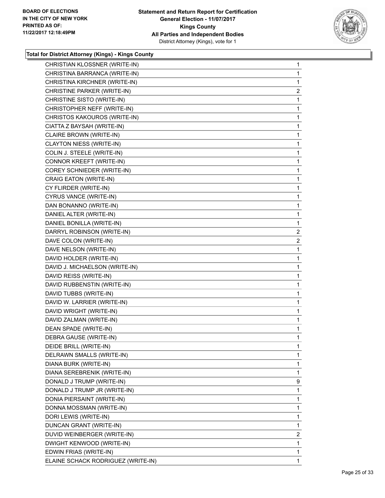

| CHRISTIAN KLOSSNER (WRITE-IN)      | 1            |
|------------------------------------|--------------|
| CHRISTINA BARRANCA (WRITE-IN)      | 1            |
| CHRISTINA KIRCHNER (WRITE-IN)      | 1            |
| CHRISTINE PARKER (WRITE-IN)        | 2            |
| CHRISTINE SISTO (WRITE-IN)         | 1            |
| CHRISTOPHER NEFF (WRITE-IN)        | 1            |
| CHRISTOS KAKOUROS (WRITE-IN)       | 1            |
| CIATTA Z BAYSAH (WRITE-IN)         | 1            |
| CLAIRE BROWN (WRITE-IN)            | 1            |
| CLAYTON NIESS (WRITE-IN)           | $\mathbf{1}$ |
| COLIN J. STEELE (WRITE-IN)         | 1            |
| CONNOR KREEFT (WRITE-IN)           | 1            |
| COREY SCHNIEDER (WRITE-IN)         | $\mathbf{1}$ |
| CRAIG EATON (WRITE-IN)             | 1            |
| CY FLIRDER (WRITE-IN)              | 1            |
| CYRUS VANCE (WRITE-IN)             | $\mathbf{1}$ |
| DAN BONANNO (WRITE-IN)             | 1            |
| DANIEL ALTER (WRITE-IN)            | 1            |
| DANIEL BONILLA (WRITE-IN)          | $\mathbf{1}$ |
| DARRYL ROBINSON (WRITE-IN)         | 2            |
| DAVE COLON (WRITE-IN)              | 2            |
| DAVE NELSON (WRITE-IN)             | 1            |
| DAVID HOLDER (WRITE-IN)            | 1            |
| DAVID J. MICHAELSON (WRITE-IN)     | 1            |
| DAVID REISS (WRITE-IN)             | 1            |
| DAVID RUBBENSTIN (WRITE-IN)        | 1            |
| DAVID TUBBS (WRITE-IN)             | 1            |
| DAVID W. LARRIER (WRITE-IN)        | $\mathbf{1}$ |
| DAVID WRIGHT (WRITE-IN)            | 1            |
| DAVID ZALMAN (WRITE-IN)            | 1            |
| DEAN SPADE (WRITE-IN)              | $\mathbf{1}$ |
| DEBRA GAUSE (WRITE-IN)             | 1            |
| DEIDE BRILL (WRITE-IN)             | 1            |
| DELRAWN SMALLS (WRITE-IN)          | $\mathbf{1}$ |
| DIANA BURK (WRITE-IN)              | 1            |
| DIANA SEREBRENIK (WRITE-IN)        | 1            |
| DONALD J TRUMP (WRITE-IN)          | 9            |
| DONALD J TRUMP JR (WRITE-IN)       | 1            |
| DONIA PIERSAINT (WRITE-IN)         | 1            |
| DONNA MOSSMAN (WRITE-IN)           | 1            |
| DORI LEWIS (WRITE-IN)              | 1            |
| DUNCAN GRANT (WRITE-IN)            | 1            |
| DUVID WEINBERGER (WRITE-IN)        | 2            |
| DWIGHT KENWOOD (WRITE-IN)          | 1            |
| EDWIN FRIAS (WRITE-IN)             | 1            |
| ELAINE SCHACK RODRIGUEZ (WRITE-IN) | 1            |
|                                    |              |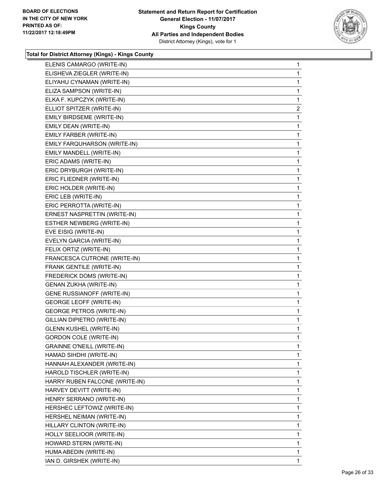

| ELENIS CAMARGO (WRITE-IN)         | $\mathbf{1}$ |
|-----------------------------------|--------------|
| ELISHEVA ZIEGLER (WRITE-IN)       | 1            |
| ELIYAHU CYNAMAN (WRITE-IN)        | 1            |
| ELIZA SAMPSON (WRITE-IN)          | 1            |
| ELKA F. KUPCZYK (WRITE-IN)        | 1            |
| ELLIOT SPITZER (WRITE-IN)         | 2            |
| <b>EMILY BIRDSEME (WRITE-IN)</b>  | 1            |
| EMILY DEAN (WRITE-IN)             | 1            |
| EMILY FARBER (WRITE-IN)           | 1            |
| EMILY FARQUHARSON (WRITE-IN)      | 1            |
| EMILY MANDELL (WRITE-IN)          | 1            |
| ERIC ADAMS (WRITE-IN)             | 1            |
| ERIC DRYBURGH (WRITE-IN)          | 1            |
| ERIC FLIEDNER (WRITE-IN)          | 1            |
| ERIC HOLDER (WRITE-IN)            | 1            |
| ERIC LEB (WRITE-IN)               | 1            |
| ERIC PERROTTA (WRITE-IN)          | 1            |
| ERNEST NASPRETTIN (WRITE-IN)      | 1            |
| ESTHER NEWBERG (WRITE-IN)         | 1            |
| EVE EISIG (WRITE-IN)              | 1            |
| EVELYN GARCIA (WRITE-IN)          | 1            |
| FELIX ORTIZ (WRITE-IN)            | 1            |
| FRANCESCA CUTRONE (WRITE-IN)      | 1            |
| FRANK GENTILE (WRITE-IN)          | 1            |
| FREDERICK DOMS (WRITE-IN)         | 1            |
| <b>GENAN ZUKHA (WRITE-IN)</b>     | 1            |
| GENE RUSSIANOFF (WRITE-IN)        | 1            |
| <b>GEORGE LEOFF (WRITE-IN)</b>    | 1            |
| <b>GEORGE PETROS (WRITE-IN)</b>   | 1            |
| GILLIAN DIPIETRO (WRITE-IN)       | 1            |
| <b>GLENN KUSHEL (WRITE-IN)</b>    | 1            |
| <b>GORDON COLE (WRITE-IN)</b>     | 1            |
| <b>GRAINNE O'NEILL (WRITE-IN)</b> | 1            |
| HAMAD SIHDHI (WRITE-IN)           | $\mathbf{1}$ |
| HANNAH ALEXANDER (WRITE-IN)       | 1            |
| HAROLD TISCHLER (WRITE-IN)        | 1            |
| HARRY RUBEN FALCONE (WRITE-IN)    | 1            |
| HARVEY DEVITT (WRITE-IN)          | 1            |
| HENRY SERRANO (WRITE-IN)          | 1            |
| HERSHEC LEFTOWIZ (WRITE-IN)       | 1            |
| HERSHEL NEIMAN (WRITE-IN)         | 1            |
| HILLARY CLINTON (WRITE-IN)        | 1            |
| HOLLY SEELIOOR (WRITE-IN)         | 1            |
| HOWARD STERN (WRITE-IN)           | 1            |
| HUMA ABEDIN (WRITE-IN)            | 1            |
| IAN D. GIRSHEK (WRITE-IN)         | $\mathbf{1}$ |
|                                   |              |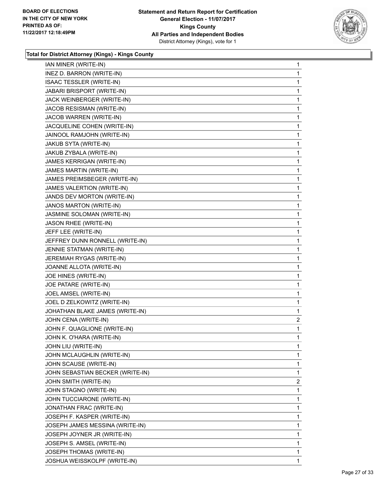

| IAN MINER (WRITE-IN)             | 1            |
|----------------------------------|--------------|
| INEZ D. BARRON (WRITE-IN)        | 1            |
| <b>ISAAC TESSLER (WRITE-IN)</b>  | 1            |
| JABARI BRISPORT (WRITE-IN)       | 1            |
| JACK WEINBERGER (WRITE-IN)       | 1            |
| JACOB RESISMAN (WRITE-IN)        | 1            |
| JACOB WARREN (WRITE-IN)          | 1            |
| JACQUELINE COHEN (WRITE-IN)      | 1            |
| JAINOOL RAMJOHN (WRITE-IN)       | 1            |
| JAKUB SYTA (WRITE-IN)            | 1            |
| JAKUB ZYBALA (WRITE-IN)          | 1            |
| JAMES KERRIGAN (WRITE-IN)        | 1            |
| JAMES MARTIN (WRITE-IN)          | 1            |
| JAMES PREIMSBEGER (WRITE-IN)     | 1            |
| JAMES VALERTION (WRITE-IN)       | 1            |
| JANDS DEV MORTON (WRITE-IN)      | 1            |
| JANOS MARTON (WRITE-IN)          | 1            |
| JASMINE SOLOMAN (WRITE-IN)       | 1            |
| JASON RHEE (WRITE-IN)            | 1            |
| JEFF LEE (WRITE-IN)              | 1            |
| JEFFREY DUNN RONNELL (WRITE-IN)  | 1            |
| JENNIE STATMAN (WRITE-IN)        | 1            |
| JEREMIAH RYGAS (WRITE-IN)        | 1            |
| JOANNE ALLOTA (WRITE-IN)         | 1            |
| JOE HINES (WRITE-IN)             | 1            |
| JOE PATARE (WRITE-IN)            | 1            |
| JOEL AMSEL (WRITE-IN)            | 1            |
| JOEL D ZELKOWITZ (WRITE-IN)      | 1            |
| JOHATHAN BLAKE JAMES (WRITE-IN)  | 1            |
| JOHN CENA (WRITE-IN)             | $\mathbf{2}$ |
| JOHN F. QUAGLIONE (WRITE-IN)     | 1            |
| JOHN K. O'HARA (WRITE-IN)        | 1            |
| JOHN LIU (WRITE-IN)              | 1            |
| JOHN MCLAUGHLIN (WRITE-IN)       | 1            |
| JOHN SCAUSE (WRITE-IN)           | 1            |
| JOHN SEBASTIAN BECKER (WRITE-IN) | 1            |
| JOHN SMITH (WRITE-IN)            | 2            |
| JOHN STAGNO (WRITE-IN)           | 1            |
| JOHN TUCCIARONE (WRITE-IN)       | 1            |
| JONATHAN FRAC (WRITE-IN)         | 1            |
| JOSEPH F. KASPER (WRITE-IN)      | 1            |
| JOSEPH JAMES MESSINA (WRITE-IN)  | 1            |
| JOSEPH JOYNER JR (WRITE-IN)      | 1            |
| JOSEPH S. AMSEL (WRITE-IN)       | 1            |
| JOSEPH THOMAS (WRITE-IN)         | 1            |
| JOSHUA WEISSKOLPF (WRITE-IN)     | 1            |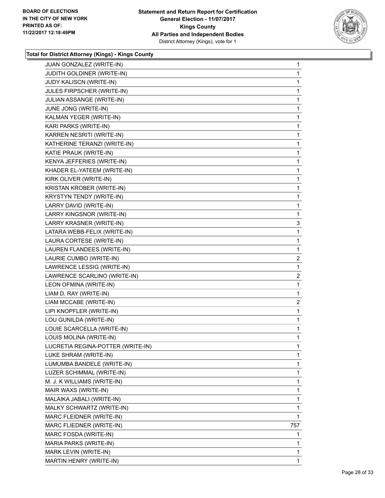

| JUAN GONZALEZ (WRITE-IN)          | 1                       |
|-----------------------------------|-------------------------|
| JUDITH GOLDINER (WRITE-IN)        | 1                       |
| JUDY KALISCN (WRITE-IN)           | 1                       |
| JULES FIRPSCHER (WRITE-IN)        | 1                       |
| JULIAN ASSANGE (WRITE-IN)         | 1                       |
| JUNE JONG (WRITE-IN)              | 1                       |
| KALMAN YEGER (WRITE-IN)           | 1                       |
| KARI PARKS (WRITE-IN)             | 1                       |
| KARREN NESRITI (WRITE-IN)         | 1                       |
| KATHERINE TERANZI (WRITE-IN)      | 1                       |
| KATIE PRAUK (WRITE-IN)            | 1                       |
| KENYA JEFFERIES (WRITE-IN)        | 1                       |
| KHADER EL-YATEEM (WRITE-IN)       | 1                       |
| KIRK OLIVER (WRITE-IN)            | 1                       |
| KRISTAN KROBER (WRITE-IN)         | 1                       |
| KRYSTYN TENDY (WRITE-IN)          | 1                       |
| LARRY DAVID (WRITE-IN)            | 1                       |
| LARRY KINGSNOR (WRITE-IN)         | 1                       |
| <b>LARRY KRASNER (WRITE-IN)</b>   | 3                       |
| LATARA WEBB-FELIX (WRITE-IN)      | 1                       |
| LAURA CORTESE (WRITE-IN)          | 1                       |
| LAUREN FLANDEES (WRITE-IN)        | 1                       |
| LAURIE CUMBO (WRITE-IN)           | 2                       |
| LAWRENCE LESSIG (WRITE-IN)        | 1                       |
| LAWRENCE SCARLINO (WRITE-IN)      | $\overline{c}$          |
| LEON OFMINA (WRITE-IN)            | 1                       |
| LIAM D. RAY (WRITE-IN)            | 1                       |
| LIAM MCCABE (WRITE-IN)            | $\overline{\mathbf{c}}$ |
| LIPI KNOPFLER (WRITE-IN)          | 1                       |
| LOU GUNILDA (WRITE-IN)            | 1                       |
| LOUIE SCARCELLA (WRITE-IN)        | 1                       |
| LOUIS MOLINA (WRITE-IN)           | 1                       |
| LUCRETIA REGINA-POTTER (WRITE-IN) | 1                       |
| LUKE SHRAM (WRITE-IN)             | 1                       |
| LUMUMBA BANDELE (WRITE-IN)        | 1                       |
| LUZER SCHIMMAL (WRITE-IN)         | 1                       |
| M. J. K WILLIAMS (WRITE-IN)       | 1                       |
| MAIR WAXS (WRITE-IN)              | 1                       |
| MALAIKA JABALI (WRITE-IN)         | 1                       |
| MALKY SCHWARTZ (WRITE-IN)         | 1                       |
| MARC FLEIDNER (WRITE-IN)          | 1                       |
| MARC FLIEDNER (WRITE-IN)          | 757                     |
| MARC FOSDA (WRITE-IN)             | 1                       |
| MARIA PARKS (WRITE-IN)            | 1                       |
| MARK LEVIN (WRITE-IN)             | 1                       |
| MARTIN HENRY (WRITE-IN)           | 1                       |
|                                   |                         |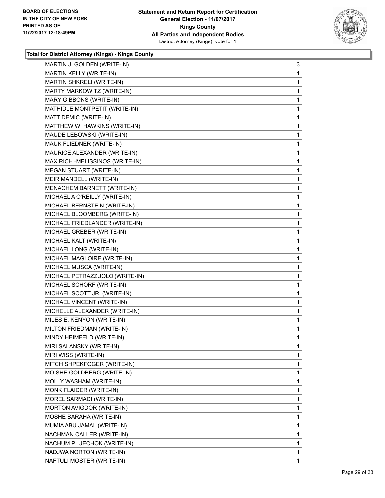

| MARTIN J. GOLDEN (WRITE-IN)     | 3  |
|---------------------------------|----|
| MARTIN KELLY (WRITE-IN)         | 1  |
| MARTIN SHKRELI (WRITE-IN)       | 1  |
| MARTY MARKOWITZ (WRITE-IN)      | 1  |
| MARY GIBBONS (WRITE-IN)         | 1  |
| MATHIDLE MONTPETIT (WRITE-IN)   | 1  |
| MATT DEMIC (WRITE-IN)           | 1  |
| MATTHEW W. HAWKINS (WRITE-IN)   | 1  |
| MAUDE LEBOWSKI (WRITE-IN)       | 1  |
| MAUK FLIEDNER (WRITE-IN)        | 1  |
| MAURICE ALEXANDER (WRITE-IN)    | 1  |
| MAX RICH -MELISSINOS (WRITE-IN) | 1  |
| MEGAN STUART (WRITE-IN)         | 1  |
| MEIR MANDELL (WRITE-IN)         | 1  |
| MENACHEM BARNETT (WRITE-IN)     | 1  |
| MICHAEL A O'REILLY (WRITE-IN)   | 1  |
| MICHAEL BERNSTEIN (WRITE-IN)    | 1  |
| MICHAEL BLOOMBERG (WRITE-IN)    | 1  |
| MICHAEL FRIEDLANDER (WRITE-IN)  | 1  |
| MICHAEL GREBER (WRITE-IN)       | 1  |
| MICHAEL KALT (WRITE-IN)         | 1  |
| MICHAEL LONG (WRITE-IN)         | 1  |
| MICHAEL MAGLOIRE (WRITE-IN)     | 1  |
| MICHAEL MUSCA (WRITE-IN)        | 1  |
| MICHAEL PETRAZZUOLO (WRITE-IN)  | 1  |
| MICHAEL SCHORF (WRITE-IN)       | 1  |
| MICHAEL SCOTT JR. (WRITE-IN)    | 1  |
| MICHAEL VINCENT (WRITE-IN)      | 1  |
| MICHELLE ALEXANDER (WRITE-IN)   | 1  |
| MILES E. KENYON (WRITE-IN)      | 1  |
| MILTON FRIEDMAN (WRITE-IN)      | 1  |
| MINDY HEIMFELD (WRITE-IN)       | 1  |
| MIRI SALANSKY (WRITE-IN)        | 1  |
| MIRI WISS (WRITE-IN)            | 1  |
| MITCH SHPEKFOGER (WRITE-IN)     | 1  |
| MOISHE GOLDBERG (WRITE-IN)      | 1  |
| MOLLY WASHAM (WRITE-IN)         | 1  |
| MONK FLAIDER (WRITE-IN)         | 1  |
| MOREL SARMADI (WRITE-IN)        | 1  |
| MORTON AVIGDOR (WRITE-IN)       | 1  |
| MOSHE BARAHA (WRITE-IN)         | 1  |
| MUMIA ABU JAMAL (WRITE-IN)      | 1  |
| NACHMAN CALLER (WRITE-IN)       | 1  |
| NACHUM PLUECHOK (WRITE-IN)      | 1  |
| NADJWA NORTON (WRITE-IN)        | 1  |
| NAFTULI MOSTER (WRITE-IN)       | 1. |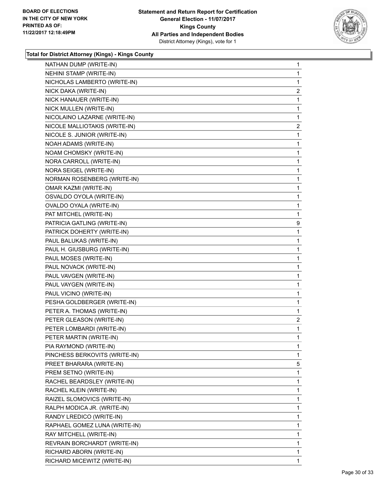

| NATHAN DUMP (WRITE-IN)        | 1              |
|-------------------------------|----------------|
| NEHINI STAMP (WRITE-IN)       | 1              |
| NICHOLAS LAMBERTO (WRITE-IN)  | 1              |
| NICK DAKA (WRITE-IN)          | $\overline{2}$ |
| NICK HANAUER (WRITE-IN)       | 1              |
| NICK MULLEN (WRITE-IN)        | 1              |
| NICOLAINO LAZARNE (WRITE-IN)  | 1              |
| NICOLE MALLIOTAKIS (WRITE-IN) | 2              |
| NICOLE S. JUNIOR (WRITE-IN)   | 1              |
| NOAH ADAMS (WRITE-IN)         | 1              |
| NOAM CHOMSKY (WRITE-IN)       | 1              |
| NORA CARROLL (WRITE-IN)       | 1              |
| NORA SEIGEL (WRITE-IN)        | 1              |
| NORMAN ROSENBERG (WRITE-IN)   | 1              |
| OMAR KAZMI (WRITE-IN)         | 1              |
| OSVALDO OYOLA (WRITE-IN)      | 1              |
| OVALDO OYALA (WRITE-IN)       | 1              |
| PAT MITCHEL (WRITE-IN)        | 1              |
| PATRICIA GATLING (WRITE-IN)   | 9              |
| PATRICK DOHERTY (WRITE-IN)    | 1              |
| PAUL BALUKAS (WRITE-IN)       | 1              |
| PAUL H. GIUSBURG (WRITE-IN)   | 1              |
| PAUL MOSES (WRITE-IN)         | 1              |
| PAUL NOVACK (WRITE-IN)        | 1              |
| PAUL VAVGEN (WRITE-IN)        | 1              |
| PAUL VAYGEN (WRITE-IN)        | 1              |
| PAUL VICINO (WRITE-IN)        | 1              |
| PESHA GOLDBERGER (WRITE-IN)   | 1              |
| PETER A. THOMAS (WRITE-IN)    | 1              |
| PETER GLEASON (WRITE-IN)      | $\mathbf{2}$   |
| PETER LOMBARDI (WRITE-IN)     | 1              |
| PETER MARTIN (WRITE-IN)       | 1              |
| PIA RAYMOND (WRITE-IN)        | 1              |
| PINCHESS BERKOVITS (WRITE-IN) | 1              |
| PREET BHARARA (WRITE-IN)      | 5              |
| PREM SETNO (WRITE-IN)         | 1              |
| RACHEL BEARDSLEY (WRITE-IN)   | 1              |
| RACHEL KLEIN (WRITE-IN)       | 1              |
| RAIZEL SLOMOVICS (WRITE-IN)   | 1              |
| RALPH MODICA JR. (WRITE-IN)   | 1              |
| RANDY LREDICO (WRITE-IN)      | 1              |
| RAPHAEL GOMEZ LUNA (WRITE-IN) | 1              |
| RAY MITCHELL (WRITE-IN)       | 1              |
| REVRAIN BORCHARDT (WRITE-IN)  | 1              |
| RICHARD ABORN (WRITE-IN)      | 1              |
| RICHARD MICEWITZ (WRITE-IN)   | 1              |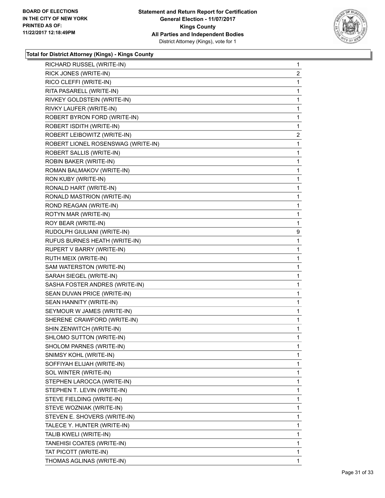

| RICHARD RUSSEL (WRITE-IN)          | $\mathbf{1}$ |
|------------------------------------|--------------|
| RICK JONES (WRITE-IN)              | 2            |
| RICO CLEFFI (WRITE-IN)             | 1            |
| RITA PASARELL (WRITE-IN)           | $\mathbf 1$  |
| RIVKEY GOLDSTEIN (WRITE-IN)        | 1            |
| RIVKY LAUFER (WRITE-IN)            | 1            |
| ROBERT BYRON FORD (WRITE-IN)       | 1            |
| ROBERT ISDITH (WRITE-IN)           | 1            |
| ROBERT LEIBOWITZ (WRITE-IN)        | 2            |
| ROBERT LIONEL ROSENSWAG (WRITE-IN) | 1            |
| ROBERT SALLIS (WRITE-IN)           | 1            |
| ROBIN BAKER (WRITE-IN)             | 1            |
| ROMAN BALMAKOV (WRITE-IN)          | 1            |
| RON KUBY (WRITE-IN)                | 1            |
| RONALD HART (WRITE-IN)             | 1            |
| RONALD MASTRION (WRITE-IN)         | $\mathbf 1$  |
| ROND REAGAN (WRITE-IN)             | 1            |
| ROTYN MAR (WRITE-IN)               | 1            |
| ROY BEAR (WRITE-IN)                | 1            |
| RUDOLPH GIULIANI (WRITE-IN)        | 9            |
| RUFUS BURNES HEATH (WRITE-IN)      | 1            |
| RUPERT V BARRY (WRITE-IN)          | 1            |
| RUTH MEIX (WRITE-IN)               | 1            |
| SAM WATERSTON (WRITE-IN)           | 1            |
| SARAH SIEGEL (WRITE-IN)            | 1            |
| SASHA FOSTER ANDRES (WRITE-IN)     | 1            |
| SEAN DUVAN PRICE (WRITE-IN)        | 1            |
| SEAN HANNITY (WRITE-IN)            | 1            |
| SEYMOUR W JAMES (WRITE-IN)         | 1            |
| SHERENE CRAWFORD (WRITE-IN)        | 1            |
| SHIN ZENWITCH (WRITE-IN)           | 1            |
| SHLOMO SUTTON (WRITE-IN)           | 1            |
| SHOLOM PARNES (WRITE-IN)           | 1            |
| SNIMSY KOHL (WRITE-IN)             | 1            |
| SOFFIYAH ELIJAH (WRITE-IN)         | 1            |
| SOL WINTER (WRITE-IN)              | 1            |
| STEPHEN LAROCCA (WRITE-IN)         | 1            |
|                                    | 1            |
| STEPHEN T. LEVIN (WRITE-IN)        |              |
| STEVE FIELDING (WRITE-IN)          | 1            |
| STEVE WOZNIAK (WRITE-IN)           | 1            |
| STEVEN E. SHOVERS (WRITE-IN)       | 1            |
| TALECE Y. HUNTER (WRITE-IN)        | 1            |
| TALIB KWELI (WRITE-IN)             | 1            |
| TANEHISI COATES (WRITE-IN)         | 1            |
| TAT PICOTT (WRITE-IN)              | 1            |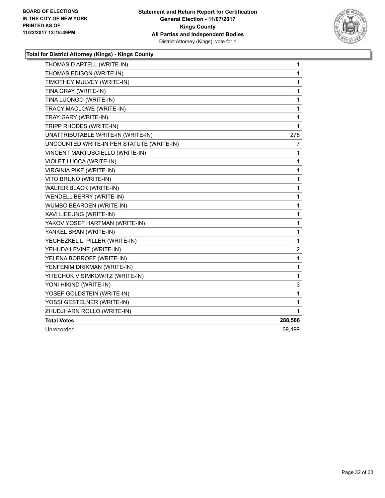

| THOMAS D ARTELL (WRITE-IN)                | 1            |
|-------------------------------------------|--------------|
| THOMAS EDISON (WRITE-IN)                  | $\mathbf{1}$ |
| TIMOTHEY MULVEY (WRITE-IN)                | 1            |
| TINA GRAY (WRITE-IN)                      | 1            |
| TINA LUONGO (WRITE-IN)                    | 1            |
| TRACY MACLOWE (WRITE-IN)                  | 1            |
| TRAY GARY (WRITE-IN)                      | 1            |
| TRIPP RHODES (WRITE-IN)                   | 1            |
| UNATTRIBUTABLE WRITE-IN (WRITE-IN)        | 278          |
| UNCOUNTED WRITE-IN PER STATUTE (WRITE-IN) | 7            |
| VINCENT MARTUSCIELLO (WRITE-IN)           | 1            |
| VIOLET LUCCA (WRITE-IN)                   | 1            |
| <b>VIRGINIA PIKE (WRITE-IN)</b>           | 1            |
| VITO BRUNO (WRITE-IN)                     | 1            |
| WALTER BLACK (WRITE-IN)                   | 1            |
| WENDELL BERRY (WRITE-IN)                  | 1            |
| WUMBO BEARDEN (WRITE-IN)                  | 1            |
| XAVI LIEEUNG (WRITE-IN)                   | 1            |
| YAKOV YOSEF HARTMAN (WRITE-IN)            | 1            |
| YANKEL BRAN (WRITE-IN)                    | 1            |
| YECHEZKEL L. PILLER (WRITE-IN)            | 1            |
| YEHUDA LEVINE (WRITE-IN)                  | 2            |
| YELENA BOBROFF (WRITE-IN)                 | 1            |
| YENFENIM DRIKMAN (WRITE-IN)               | 1            |
| YITECHOK V SIMKOWITZ (WRITE-IN)           | 1            |
| YONI HIKIND (WRITE-IN)                    | 3            |
| YOSEF GOLDSTEIN (WRITE-IN)                | 1            |
| YOSSI GESTELNER (WRITE-IN)                | 1            |
| ZHUDJHARN ROLLO (WRITE-IN)                | 1            |
| <b>Total Votes</b>                        | 288,586      |
| Unrecorded                                | 69,499       |